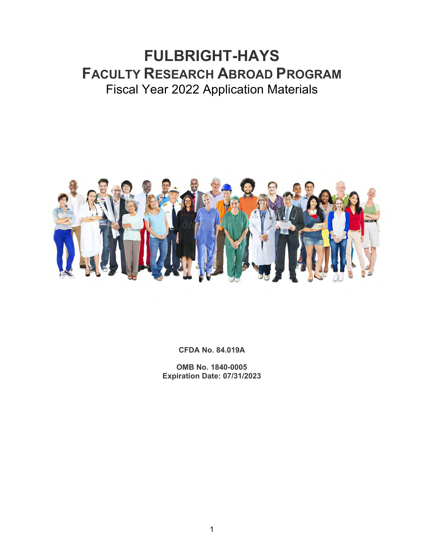# **FULBRIGHT-HAYS FACULTY RESEARCH ABROAD PROGRAM** Fiscal Year 2022 Application Materials



**CFDA No. 84.019A**

**OMB No. 1840-0005 Expiration Date: 07/31/2023**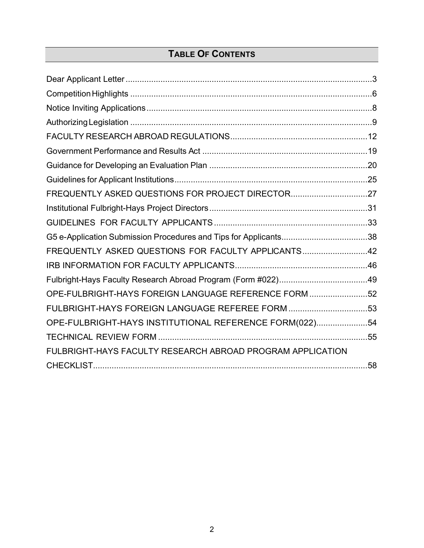## **TABLE OF CONTENTS**

| FREQUENTLY ASKED QUESTIONS FOR PROJECT DIRECTOR27                |  |
|------------------------------------------------------------------|--|
|                                                                  |  |
|                                                                  |  |
| G5 e-Application Submission Procedures and Tips for Applicants38 |  |
| FREQUENTLY ASKED QUESTIONS FOR FACULTY APPLICANTS42              |  |
|                                                                  |  |
|                                                                  |  |
| OPE-FULBRIGHT-HAYS FOREIGN LANGUAGE REFERENCE FORM 52            |  |
| FULBRIGHT-HAYS FOREIGN LANGUAGE REFEREE FORM 53                  |  |
| OPE-FULBRIGHT-HAYS INSTITUTIONAL REFERENCE FORM(022)54           |  |
|                                                                  |  |
| FULBRIGHT-HAYS FACULTY RESEARCH ABROAD PROGRAM APPLICATION       |  |
|                                                                  |  |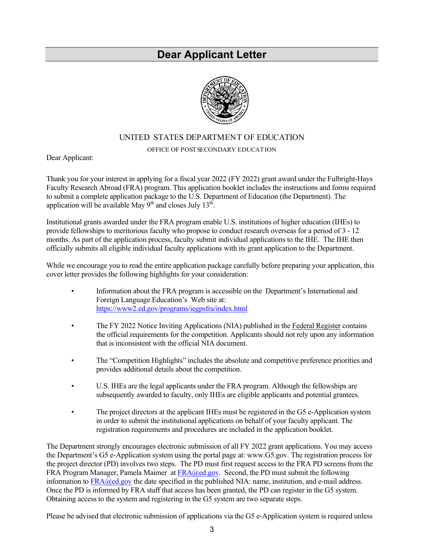## **Dear Applicant Letter**



### UNITED STATES DEPARTMENT OF EDUCATION

OFFICE OF POST SECONDARY EDUCAT ION

<span id="page-2-0"></span>Dear Applicant:

Thank you for your interest in applying for a fiscal year 2022 (FY 2022) grant award under the Fulbright-Hays Faculty Research Abroad (FRA) program. This application booklet includes the instructions and forms required to submit a complete application package to the U.S. Department of Education (the Department). The application will be available May  $9<sup>th</sup>$  and closes July  $13<sup>th</sup>$ .

Institutional grants awarded under the FRA program enable U.S. institutions of higher education (IHEs) to provide fellowships to meritorious faculty who propose to conduct research overseas for a period of 3 - 12 months. As part of the application process, faculty submit individual applications to the IHE. The IHE then officially submits all eligible individual faculty applications with its grant application to the Department.

While we encourage you to read the entire application package carefully before preparing your application, this cover letter provides the following highlights for your consideration:

- Information about the FRA program is accessible on the Department's International and Foreign Language Education's Web site at: <https://www2.ed.gov/programs/iegpsfra/index.html>
- The FY 2022 Notice Inviting Applications (NIA) published in the Federal Register contains the official requirements for the competition. Applicants should not rely upon any information that is inconsistent with the official NIA document.
- The "Competition Highlights" includes the absolute and competitive preference priorities and provides additional details about the competition.
- U.S. IHEs are the legal applicants under the FRA program. Although the fellowships are subsequently awarded to faculty, only IHEs are eligible applicants and potential grantees.
- The project directors at the applicant IHEs must be registered in the G5 e-Application system in order to submit the institutional applications on behalf of your faculty applicant. The registration requirements and procedures are included in the application booklet.

The Department strongly encourages electronic submission of all FY 2022 grant applications. You may access the Department's G5 e-Application system using the portal page at: www.G5.gov. The registration process for the project director (PD) involves two steps. The PD must first request access to the FRA PD screens from the FRA Program Manager, Pamela Maimer a[t FRA@ed.gov.](mailto:FRA@ed.gov) Second, the PD must submit the following information to  $FRA$  $@ed.gov$  the date specified in the published NIA: name, institution, and e-mail address. Once the PD is informed by FRA staff that access has been granted, the PD can register in the G5 system. Obtaining access to the system and registering in the G5 system are two separate steps.

Please be advised that electronic submission of applications via the G5 e-Application system is required unless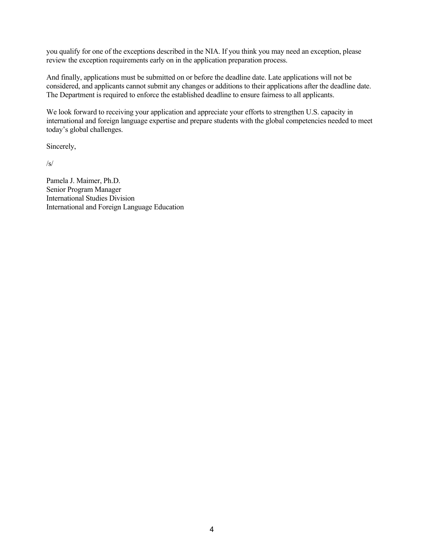you qualify for one of the exceptions described in the NIA. If you think you may need an exception, please review the exception requirements early on in the application preparation process.

And finally, applications must be submitted on or before the deadline date. Late applications will not be considered, and applicants cannot submit any changes or additions to their applications after the deadline date. The Department is required to enforce the established deadline to ensure fairness to all applicants.

We look forward to receiving your application and appreciate your efforts to strengthen U.S. capacity in international and foreign language expertise and prepare students with the global competencies needed to meet today's global challenges.

Sincerely,

/s/

Pamela J. Maimer, Ph.D. Senior Program Manager International Studies Division International and Foreign Language Education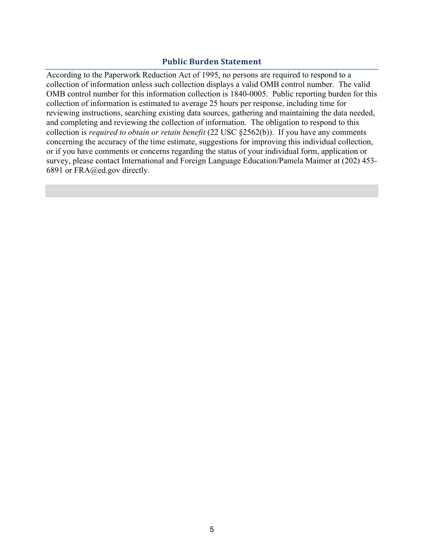### **Public Burden Statement**

According to the Paperwork Reduction Act of 1995, no persons are required to respond to a collection of information unless such collection displays a valid OMB control number. The valid OMB control number for this information collection is 1840-0005. Public reporting burden for this collection of information is estimated to average 25 hours per response, including time for reviewing instructions, searching existing data sources, gathering and maintaining the data needed, and completing and reviewing the collection of information. The obligation to respond to this collection is *required to obtain or retain benefit* (22 USC §2562(b)). If you have any comments concerning the accuracy of the time estimate, suggestions for improving this individual collection, or if you have comments or concerns regarding the status of your individual form, application or survey, please contact International and Foreign Language Education/Pamela Maimer at (202) 453- 6891 or FRA@ed.gov directly.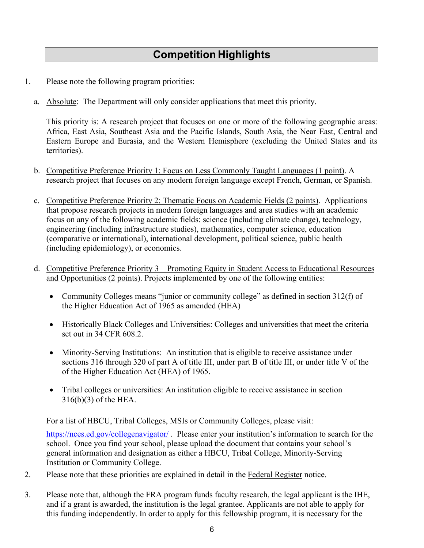# **Competition Highlights**

- <span id="page-5-0"></span>1. Please note the following program priorities:
	- a. Absolute: The Department will only consider applications that meet this priority.

This priority is: A research project that focuses on one or more of the following geographic areas: Africa, East Asia, Southeast Asia and the Pacific Islands, South Asia, the Near East, Central and Eastern Europe and Eurasia, and the Western Hemisphere (excluding the United States and its territories).

- b. Competitive Preference Priority 1: Focus on Less Commonly Taught Languages (1 point). A research project that focuses on any modern foreign language except French, German, or Spanish.
- c. Competitive Preference Priority 2: Thematic Focus on Academic Fields (2 points). Applications that propose research projects in modern foreign languages and area studies with an academic focus on any of the following academic fields: science (including climate change), technology, engineering (including infrastructure studies), mathematics, computer science, education (comparative or international), international development, political science, public health (including epidemiology), or economics.
- d. Competitive Preference Priority 3—Promoting Equity in Student Access to Educational Resources and Opportunities (2 points). Projects implemented by one of the following entities:
	- Community Colleges means "junior or community college" as defined in section 312(f) of the Higher Education Act of 1965 as amended (HEA)
	- Historically Black Colleges and Universities: Colleges and universities that meet the criteria set out in 34 CFR 608.2.
	- Minority-Serving Institutions: An institution that is eligible to receive assistance under sections 316 through 320 of part A of title III, under part B of title III, or under title V of the of the Higher Education Act (HEA) of 1965.
	- Tribal colleges or universities: An institution eligible to receive assistance in section 316(b)(3) of the HEA.

For a list of HBCU, Tribal Colleges, MSIs or Community Colleges, please visit:

<https://nces.ed.gov/collegenavigator/> . Please enter your institution's information to search for the school. Once you find your school, please upload the document that contains your school's general information and designation as either a HBCU, Tribal College, Minority-Serving Institution or Community College.

- 2. Please note that these priorities are explained in detail in the Federal Register notice.
- 3. Please note that, although the FRA program funds faculty research, the legal applicant is the IHE, and if a grant is awarded, the institution is the legal grantee. Applicants are not able to apply for this funding independently. In order to apply for this fellowship program, it is necessary for the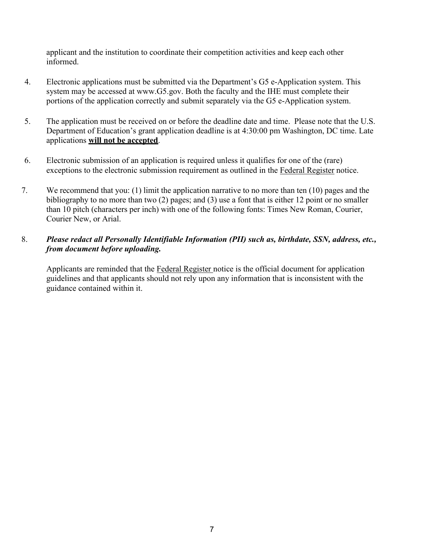applicant and the institution to coordinate their competition activities and keep each other informed.

- 4. Electronic applications must be submitted via the Department's G5 e-Application system. This system may be accessed at [www.G5.gov. B](http://www.g5.gov/)oth the faculty and the IHE must complete their portions of the application correctly and submit separately via the G5 e-Application system.
- 5. The application must be received on or before the deadline date and time. Please note that the U.S. Department of Education's grant application deadline is at 4:30:00 pm Washington, DC time. Late applications **will not be accepted**.
- 6. Electronic submission of an application is required unless it qualifies for one of the (rare) exceptions to the electronic submission requirement as outlined in the Federal Register notice.
- 7. We recommend that you: (1) limit the application narrative to no more than ten (10) pages and the bibliography to no more than two (2) pages; and (3) use a font that is either 12 point or no smaller than 10 pitch (characters per inch) with one of the following fonts: Times New Roman, Courier, Courier New, or Arial.

## 8. *Please redact all Personally Identifiable Information (PII) such as, birthdate, SSN, address, etc., from document before uploading.*

Applicants are reminded that the Federal Register notice is the official document for application guidelines and that applicants should not rely upon any information that is inconsistent with the guidance contained within it.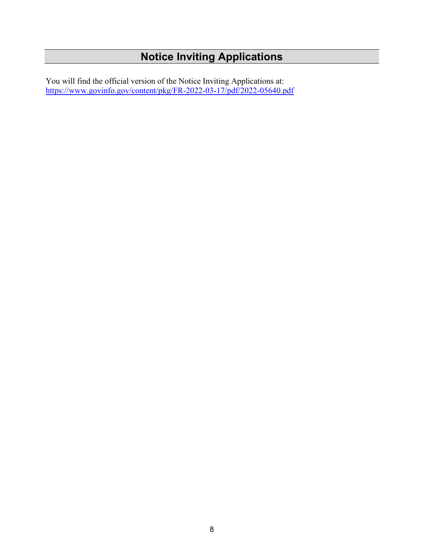# **Notice Inviting Applications**

<span id="page-7-0"></span>You will find the official version of the Notice Inviting Applications at: <https://www.govinfo.gov/content/pkg/FR-2022-03-17/pdf/2022-05640.pdf>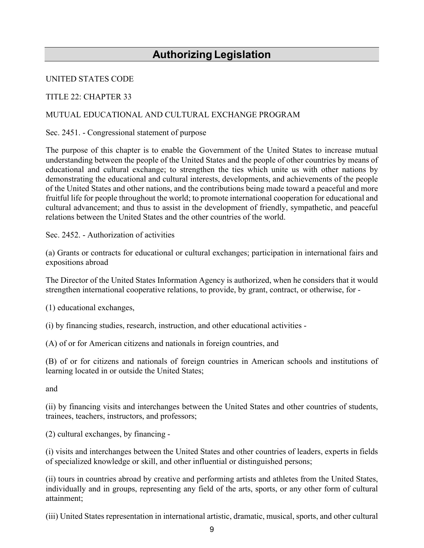# **Authorizing Legislation**

### <span id="page-8-0"></span>UNITED STATES CODE

### TITLE 22: CHAPTER 33

## MUTUAL EDUCATIONAL AND CULTURAL EXCHANGE PROGRAM

### Sec. 2451. - Congressional statement of purpose

The purpose of this chapter is to enable the Government of the United States to increase mutual understanding between the people of the United States and the people of other countries by means of educational and cultural exchange; to strengthen the ties which unite us with other nations by demonstrating the educational and cultural interests, developments, and achievements of the people of the United States and other nations, and the contributions being made toward a peaceful and more fruitful life for people throughout the world; to promote international cooperation for educational and cultural advancement; and thus to assist in the development of friendly, sympathetic, and peaceful relations between the United States and the other countries of the world.

Sec. 2452. - Authorization of activities

(a) Grants or contracts for educational or cultural exchanges; participation in international fairs and expositions abroad

The Director of the United States Information Agency is authorized, when he considers that it would strengthen international cooperative relations, to provide, by grant, contract, or otherwise, for -

(1) educational exchanges,

(i) by financing studies, research, instruction, and other educational activities -

(A) of or for American citizens and nationals in foreign countries, and

(B) of or for citizens and nationals of foreign countries in American schools and institutions of learning located in or outside the United States;

and

(ii) by financing visits and interchanges between the United States and other countries of students, trainees, teachers, instructors, and professors;

(2) cultural exchanges, by financing -

(i) visits and interchanges between the United States and other countries of leaders, experts in fields of specialized knowledge or skill, and other influential or distinguished persons;

(ii) tours in countries abroad by creative and performing artists and athletes from the United States, individually and in groups, representing any field of the arts, sports, or any other form of cultural attainment;

(iii) United States representation in international artistic, dramatic, musical, sports, and other cultural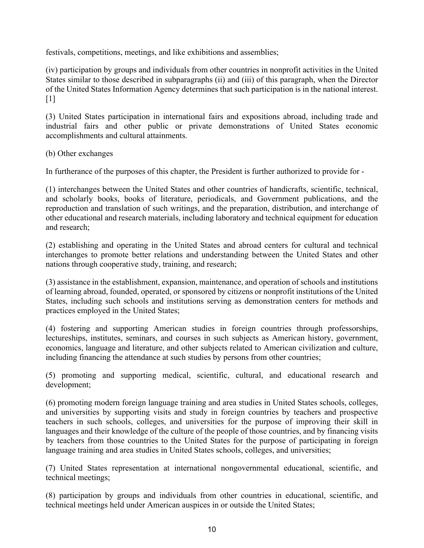festivals, competitions, meetings, and like exhibitions and assemblies;

(iv) participation by groups and individuals from other countries in nonprofit activities in the United States similar to those described in subparagraphs (ii) and (iii) of this paragraph, when the Director of the United States Information Agency determines that such participation is in the national interest.  $[1]$ 

(3) United States participation in international fairs and expositions abroad, including trade and industrial fairs and other public or private demonstrations of United States economic accomplishments and cultural attainments.

(b) Other exchanges

In furtherance of the purposes of this chapter, the President is further authorized to provide for -

(1) interchanges between the United States and other countries of handicrafts, scientific, technical, and scholarly books, books of literature, periodicals, and Government publications, and the reproduction and translation of such writings, and the preparation, distribution, and interchange of other educational and research materials, including laboratory and technical equipment for education and research;

(2) establishing and operating in the United States and abroad centers for cultural and technical interchanges to promote better relations and understanding between the United States and other nations through cooperative study, training, and research;

(3) assistance in the establishment, expansion, maintenance, and operation of schools and institutions of learning abroad, founded, operated, or sponsored by citizens or nonprofit institutions of the United States, including such schools and institutions serving as demonstration centers for methods and practices employed in the United States;

(4) fostering and supporting American studies in foreign countries through professorships, lectureships, institutes, seminars, and courses in such subjects as American history, government, economics, language and literature, and other subjects related to American civilization and culture, including financing the attendance at such studies by persons from other countries;

(5) promoting and supporting medical, scientific, cultural, and educational research and development;

(6) promoting modern foreign language training and area studies in United States schools, colleges, and universities by supporting visits and study in foreign countries by teachers and prospective teachers in such schools, colleges, and universities for the purpose of improving their skill in languages and their knowledge of the culture of the people of those countries, and by financing visits by teachers from those countries to the United States for the purpose of participating in foreign language training and area studies in United States schools, colleges, and universities;

(7) United States representation at international nongovernmental educational, scientific, and technical meetings;

(8) participation by groups and individuals from other countries in educational, scientific, and technical meetings held under American auspices in or outside the United States;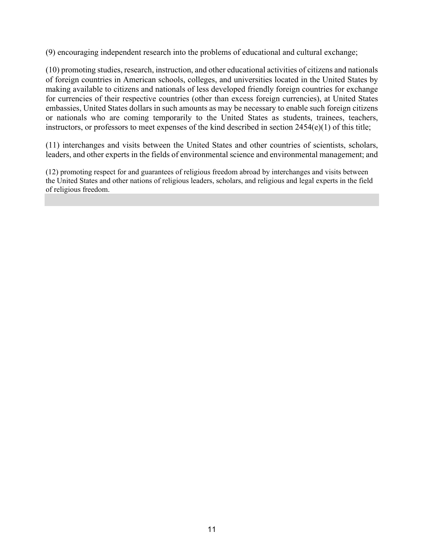(9) encouraging independent research into the problems of educational and cultural exchange;

(10) promoting studies, research, instruction, and other educational activities of citizens and nationals of foreign countries in American schools, colleges, and universities located in the United States by making available to citizens and nationals of less developed friendly foreign countries for exchange for currencies of their respective countries (other than excess foreign currencies), at United States embassies, United States dollars in such amounts as may be necessary to enable such foreign citizens or nationals who are coming temporarily to the United States as students, trainees, teachers, instructors, or professors to meet expenses of the kind described in section 2454(e)(1) of this title;

(11) interchanges and visits between the United States and other countries of scientists, scholars, leaders, and other experts in the fields of environmental science and environmental management; and

(12) promoting respect for and guarantees of religious freedom abroad by interchanges and visits between the United States and other nations of religious leaders, scholars, and religious and legal experts in the field of religious freedom.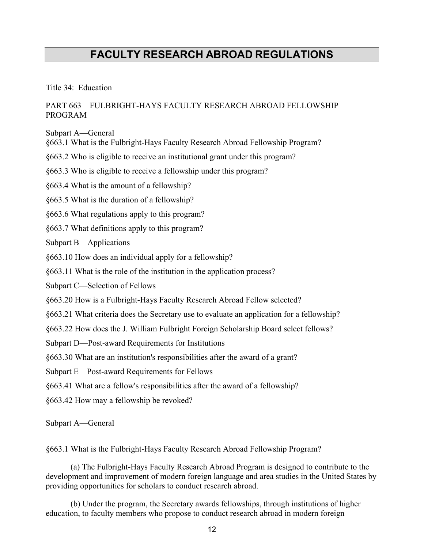# **FACULTY RESEARCH ABROAD REGULATIONS**

<span id="page-11-0"></span>Title 34: Education

### PART 663—FULBRIGHT-HAYS FACULTY RESEARCH ABROAD FELLOWSHIP PROGRAM

Subpart A—General

§663.1 What is the Fulbright-Hays Faculty Research Abroad Fellowship Program?

§663.2 Who is eligible to receive an institutional grant under this program?

§663.3 Who is eligible to receive a fellowship under this program?

§663.4 What is the amount of a fellowship?

§663.5 What is the duration of a fellowship?

§663.6 What regulations apply to this program?

§663.7 What definitions apply to this program?

Subpart B—Applications

§663.10 How does an individual apply for a fellowship?

§663.11 What is the role of the institution in the application process?

Subpart C—Selection of Fellows

§663.20 How is a Fulbright-Hays Faculty Research Abroad Fellow selected?

§663.21 What criteria does the Secretary use to evaluate an application for a fellowship?

§663.22 How does the J. William Fulbright Foreign Scholarship Board select fellows?

Subpart D—Post-award Requirements for Institutions

§663.30 What are an institution's responsibilities after the award of a grant?

Subpart E—Post-award Requirements for Fellows

§663.41 What are a fellow's responsibilities after the award of a fellowship?

§663.42 How may a fellowship be revoked?

Subpart A—General

§663.1 What is the Fulbright-Hays Faculty Research Abroad Fellowship Program?

(a) The Fulbright-Hays Faculty Research Abroad Program is designed to contribute to the development and improvement of modern foreign language and area studies in the United States by providing opportunities for scholars to conduct research abroad.

(b) Under the program, the Secretary awards fellowships, through institutions of higher education, to faculty members who propose to conduct research abroad in modern foreign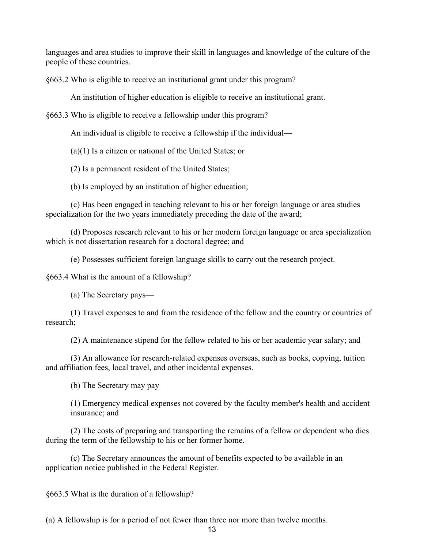languages and area studies to improve their skill in languages and knowledge of the culture of the people of these countries.

§663.2 Who is eligible to receive an institutional grant under this program?

An institution of higher education is eligible to receive an institutional grant.

§663.3 Who is eligible to receive a fellowship under this program?

An individual is eligible to receive a fellowship if the individual—

(a)(1) Is a citizen or national of the United States; or

(2) Is a permanent resident of the United States;

(b) Is employed by an institution of higher education;

(c) Has been engaged in teaching relevant to his or her foreign language or area studies specialization for the two years immediately preceding the date of the award;

(d) Proposes research relevant to his or her modern foreign language or area specialization which is not dissertation research for a doctoral degree; and

(e) Possesses sufficient foreign language skills to carry out the research project.

§663.4 What is the amount of a fellowship?

(a) The Secretary pays—

(1) Travel expenses to and from the residence of the fellow and the country or countries of research;

(2) A maintenance stipend for the fellow related to his or her academic year salary; and

(3) An allowance for research-related expenses overseas, such as books, copying, tuition and affiliation fees, local travel, and other incidental expenses.

(b) The Secretary may pay—

(1) Emergency medical expenses not covered by the faculty member's health and accident insurance; and

(2) The costs of preparing and transporting the remains of a fellow or dependent who dies during the term of the fellowship to his or her former home.

(c) The Secretary announces the amount of benefits expected to be available in an application notice published in the Federal Register.

§663.5 What is the duration of a fellowship?

(a) A fellowship is for a period of not fewer than three nor more than twelve months.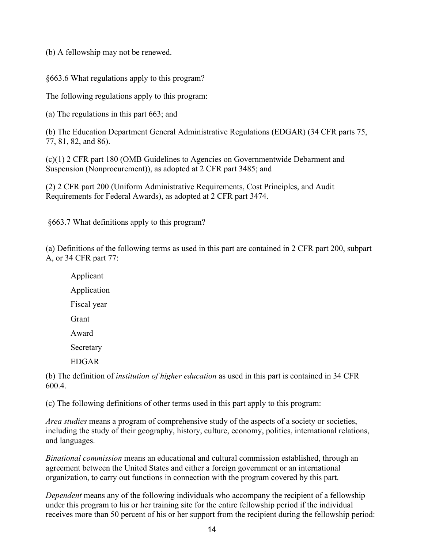(b) A fellowship may not be renewed.

§663.6 What regulations apply to this program?

The following regulations apply to this program:

(a) The regulations in this part 663; and

(b) The Education Department General Administrative Regulations (EDGAR) (34 CFR parts 75, 77, 81, 82, and 86).

(c)(1) 2 CFR part 180 (OMB Guidelines to Agencies on Governmentwide Debarment and Suspension (Nonprocurement)), as adopted at 2 CFR part 3485; and

(2) 2 CFR part 200 (Uniform Administrative Requirements, Cost Principles, and Audit Requirements for Federal Awards), as adopted at 2 CFR part 3474.

§663.7 What definitions apply to this program?

(a) Definitions of the following terms as used in this part are contained in 2 CFR part 200, subpart A, or 34 CFR part 77:

Applicant Application Fiscal year Grant Award Secretary EDGAR

(b) The definition of *institution of higher education* as used in this part is contained in 34 CFR 600.4.

(c) The following definitions of other terms used in this part apply to this program:

*Area studies* means a program of comprehensive study of the aspects of a society or societies, including the study of their geography, history, culture, economy, politics, international relations, and languages.

*Binational commission* means an educational and cultural commission established, through an agreement between the United States and either a foreign government or an international organization, to carry out functions in connection with the program covered by this part.

*Dependent* means any of the following individuals who accompany the recipient of a fellowship under this program to his or her training site for the entire fellowship period if the individual receives more than 50 percent of his or her support from the recipient during the fellowship period: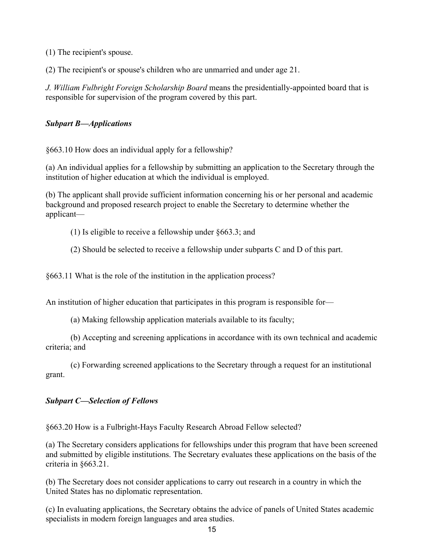(1) The recipient's spouse.

(2) The recipient's or spouse's children who are unmarried and under age 21.

*J. William Fulbright Foreign Scholarship Board* means the presidentially-appointed board that is responsible for supervision of the program covered by this part.

## *Subpart B—Applications*

§663.10 How does an individual apply for a fellowship?

(a) An individual applies for a fellowship by submitting an application to the Secretary through the institution of higher education at which the individual is employed.

(b) The applicant shall provide sufficient information concerning his or her personal and academic background and proposed research project to enable the Secretary to determine whether the applicant—

- (1) Is eligible to receive a fellowship under §663.3; and
- (2) Should be selected to receive a fellowship under subparts C and D of this part.

§663.11 What is the role of the institution in the application process?

An institution of higher education that participates in this program is responsible for—

(a) Making fellowship application materials available to its faculty;

(b) Accepting and screening applications in accordance with its own technical and academic criteria; and

(c) Forwarding screened applications to the Secretary through a request for an institutional grant.

## *Subpart C—Selection of Fellows*

§663.20 How is a Fulbright-Hays Faculty Research Abroad Fellow selected?

(a) The Secretary considers applications for fellowships under this program that have been screened and submitted by eligible institutions. The Secretary evaluates these applications on the basis of the criteria in §663.21.

(b) The Secretary does not consider applications to carry out research in a country in which the United States has no diplomatic representation.

(c) In evaluating applications, the Secretary obtains the advice of panels of United States academic specialists in modern foreign languages and area studies.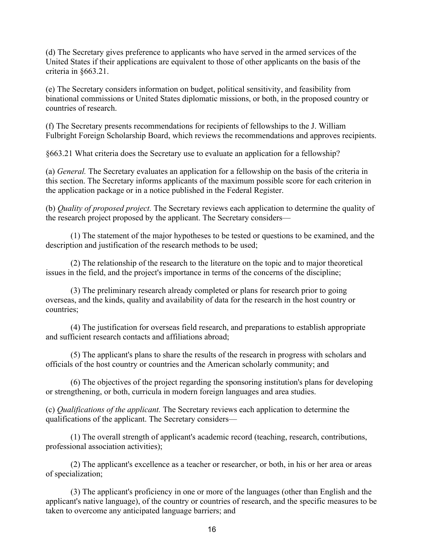(d) The Secretary gives preference to applicants who have served in the armed services of the United States if their applications are equivalent to those of other applicants on the basis of the criteria in §663.21.

(e) The Secretary considers information on budget, political sensitivity, and feasibility from binational commissions or United States diplomatic missions, or both, in the proposed country or countries of research.

(f) The Secretary presents recommendations for recipients of fellowships to the J. William Fulbright Foreign Scholarship Board, which reviews the recommendations and approves recipients.

§663.21 What criteria does the Secretary use to evaluate an application for a fellowship?

(a) *General.* The Secretary evaluates an application for a fellowship on the basis of the criteria in this section. The Secretary informs applicants of the maximum possible score for each criterion in the application package or in a notice published in the Federal Register.

(b) *Quality of proposed project.* The Secretary reviews each application to determine the quality of the research project proposed by the applicant. The Secretary considers—

(1) The statement of the major hypotheses to be tested or questions to be examined, and the description and justification of the research methods to be used;

(2) The relationship of the research to the literature on the topic and to major theoretical issues in the field, and the project's importance in terms of the concerns of the discipline;

(3) The preliminary research already completed or plans for research prior to going overseas, and the kinds, quality and availability of data for the research in the host country or countries;

(4) The justification for overseas field research, and preparations to establish appropriate and sufficient research contacts and affiliations abroad;

(5) The applicant's plans to share the results of the research in progress with scholars and officials of the host country or countries and the American scholarly community; and

(6) The objectives of the project regarding the sponsoring institution's plans for developing or strengthening, or both, curricula in modern foreign languages and area studies.

(c) *Qualifications of the applicant.* The Secretary reviews each application to determine the qualifications of the applicant. The Secretary considers—

(1) The overall strength of applicant's academic record (teaching, research, contributions, professional association activities);

(2) The applicant's excellence as a teacher or researcher, or both, in his or her area or areas of specialization;

(3) The applicant's proficiency in one or more of the languages (other than English and the applicant's native language), of the country or countries of research, and the specific measures to be taken to overcome any anticipated language barriers; and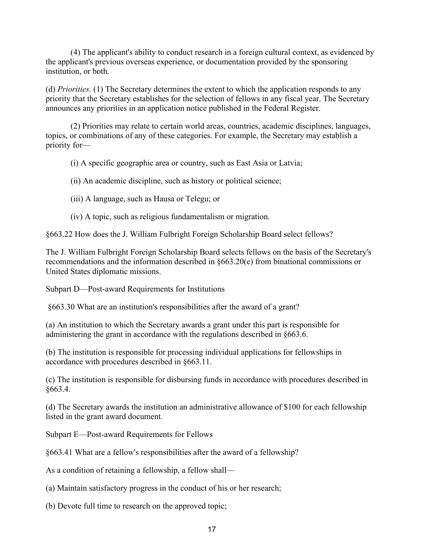(4) The applicant's ability to conduct research in a foreign cultural context, as evidenced by the applicant's previous overseas experience, or documentation provided by the sponsoring institution, or both.

(d) *Priorities.* (1) The Secretary determines the extent to which the application responds to any priority that the Secretary establishes for the selection of fellows in any fiscal year. The Secretary announces any priorities in an application notice published in the Federal Register.

(2) Priorities may relate to certain world areas, countries, academic disciplines, languages, topics, or combinations of any of these categories. For example, the Secretary may establish a priority for—

(i) A specific geographic area or country, such as East Asia or Latvia;

(ii) An academic discipline, such as history or political science;

(iii) A language, such as Hausa or Telegu; or

(iv) A topic, such as religious fundamentalism or migration.

§663.22 How does the J. William Fulbright Foreign Scholarship Board select fellows?

The J. William Fulbright Foreign Scholarship Board selects fellows on the basis of the Secretary's recommendations and the information described in §663.20(e) from binational commissions or United States diplomatic missions.

Subpart D—Post-award Requirements for Institutions

§663.30 What are an institution's responsibilities after the award of a grant?

(a) An institution to which the Secretary awards a grant under this part is responsible for administering the grant in accordance with the regulations described in §663.6.

(b) The institution is responsible for processing individual applications for fellowships in accordance with procedures described in §663.11.

(c) The institution is responsible for disbursing funds in accordance with procedures described in §663.4.

(d) The Secretary awards the institution an administrative allowance of \$100 for each fellowship listed in the grant award document.

Subpart E—Post-award Requirements for Fellows

§663.41 What are a fellow's responsibilities after the award of a fellowship?

As a condition of retaining a fellowship, a fellow shall—

(a) Maintain satisfactory progress in the conduct of his or her research;

(b) Devote full time to research on the approved topic;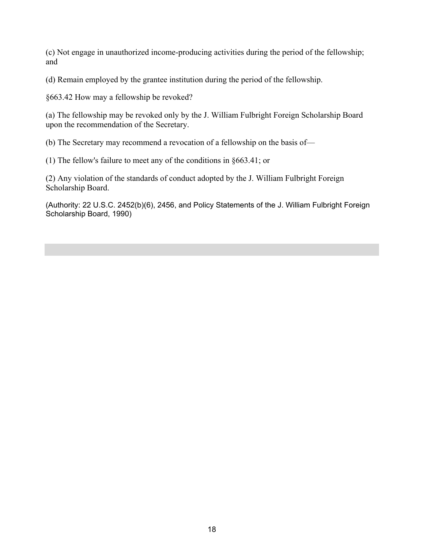(c) Not engage in unauthorized income-producing activities during the period of the fellowship; and

(d) Remain employed by the grantee institution during the period of the fellowship.

§663.42 How may a fellowship be revoked?

(a) The fellowship may be revoked only by the J. William Fulbright Foreign Scholarship Board upon the recommendation of the Secretary.

(b) The Secretary may recommend a revocation of a fellowship on the basis of—

(1) The fellow's failure to meet any of the conditions in §663.41; or

(2) Any violation of the standards of conduct adopted by the J. William Fulbright Foreign Scholarship Board.

(Authority: 22 U.S.C. 2452(b)(6), 2456, and Policy Statements of the J. William Fulbright Foreign Scholarship Board, 1990)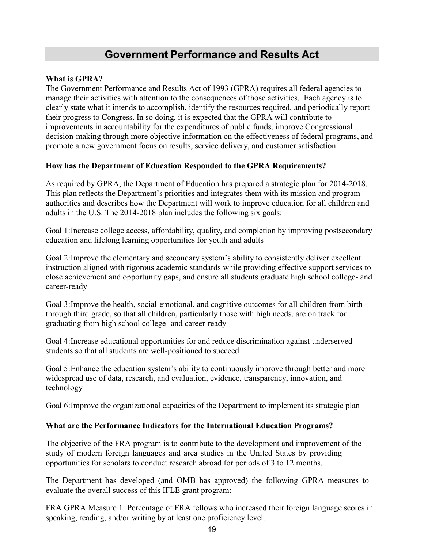## **Government Performance and Results Act**

### <span id="page-18-0"></span>**What is GPRA?**

The Government Performance and Results Act of 1993 (GPRA) requires all federal agencies to manage their activities with attention to the consequences of those activities. Each agency is to clearly state what it intends to accomplish, identify the resources required, and periodically report their progress to Congress. In so doing, it is expected that the GPRA will contribute to improvements in accountability for the expenditures of public funds, improve Congressional decision-making through more objective information on the effectiveness of federal programs, and promote a new government focus on results, service delivery, and customer satisfaction.

## **How has the Department of Education Responded to the GPRA Requirements?**

As required by GPRA, the Department of Education has prepared a strategic plan for 2014-2018. This plan reflects the Department's priorities and integrates them with its mission and program authorities and describes how the Department will work to improve education for all children and adults in the U.S. The 2014-2018 plan includes the following six goals:

Goal 1: Increase college access, affordability, quality, and completion by improving postsecondary education and lifelong learning opportunities for youth and adults

Goal 2: Improve the elementary and secondary system's ability to consistently deliver excellent instruction aligned with rigorous academic standards while providing effective support services to close achievement and opportunity gaps, and ensure all students graduate high school college- and career-ready

Goal 3: Improve the health, social-emotional, and cognitive outcomes for all children from birth through third grade, so that all children, particularly those with high needs, are on track for graduating from high school college- and career-ready

Goal 4: Increase educational opportunities for and reduce discrimination against underserved students so that all students are well-positioned to succeed

Goal 5: Enhance the education system's ability to continuously improve through better and more widespread use of data, research, and evaluation, evidence, transparency, innovation, and technology

Goal 6: Improve the organizational capacities of the Department to implement its strategic plan

## **What are the Performance Indicators for the International Education Programs?**

The objective of the FRA program is to contribute to the development and improvement of the study of modern foreign languages and area studies in the United States by providing opportunities for scholars to conduct research abroad for periods of 3 to 12 months.

The Department has developed (and OMB has approved) the following GPRA measures to evaluate the overall success of this IFLE grant program:

FRA GPRA Measure 1: Percentage of FRA fellows who increased their foreign language scores in speaking, reading, and/or writing by at least one proficiency level.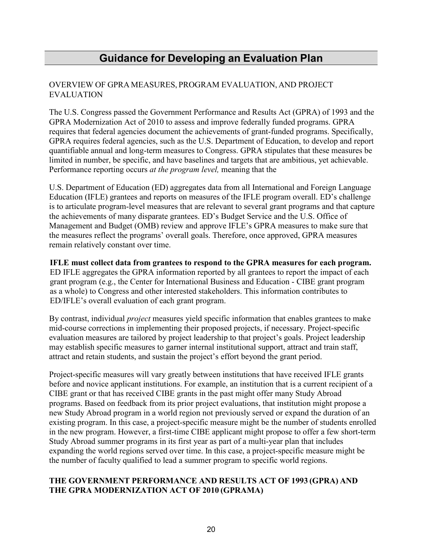## **Guidance for Developing an Evaluation Plan**

### <span id="page-19-0"></span>OVERVIEW OF GPRA MEASURES, PROGRAM EVALUATION, AND PROJECT EVALUATION

The U.S. Congress passed the Government Performance and Results Act (GPRA) of 1993 and the GPRA Modernization Act of 2010 to assess and improve federally funded programs. GPRA requires that federal agencies document the achievements of grant-funded programs. Specifically, GPRA requires federal agencies, such as the U.S. Department of Education, to develop and report quantifiable annual and long-term measures to Congress. GPRA stipulates that these measures be limited in number, be specific, and have baselines and targets that are ambitious, yet achievable. Performance reporting occurs *at the program level,* meaning that the

U.S. Department of Education (ED) aggregates data from all International and Foreign Language Education (IFLE) grantees and reports on measures of the IFLE program overall. ED's challenge is to articulate program-level measures that are relevant to several grant programs and that capture the achievements of many disparate grantees. ED's Budget Service and the U.S. Office of Management and Budget (OMB) review and approve IFLE's GPRA measures to make sure that the measures reflect the programs' overall goals. Therefore, once approved, GPRA measures remain relatively constant over time.

**IFLE must collect data from grantees to respond to the GPRA measures for each program.**  ED IFLE aggregates the GPRA information reported by all grantees to report the impact of each grant program (e.g., the Center for International Business and Education - CIBE grant program as a whole) to Congress and other interested stakeholders. This information contributes to ED/IFLE's overall evaluation of each grant program.

By contrast, individual *project* measures yield specific information that enables grantees to make mid-course corrections in implementing their proposed projects, if necessary. Project-specific evaluation measures are tailored by project leadership to that project's goals. Project leadership may establish specific measures to garner internal institutional support, attract and train staff, attract and retain students, and sustain the project's effort beyond the grant period.

Project-specific measures will vary greatly between institutions that have received IFLE grants before and novice applicant institutions. For example, an institution that is a current recipient of a CIBE grant or that has received CIBE grants in the past might offer many Study Abroad programs. Based on feedback from its prior project evaluations, that institution might propose a new Study Abroad program in a world region not previously served or expand the duration of an existing program. In this case, a project-specific measure might be the number of students enrolled in the new program. However, a first-time CIBE applicant might propose to offer a few short-term Study Abroad summer programs in its first year as part of a multi-year plan that includes expanding the world regions served over time. In this case, a project-specific measure might be the number of faculty qualified to lead a summer program to specific world regions.

### **THE GOVERNMENT PERFORMANCE AND RESULTS ACT OF 1993 (GPRA) AND THE GPRA MODERNIZATION ACT OF 2010 (GPRAMA)**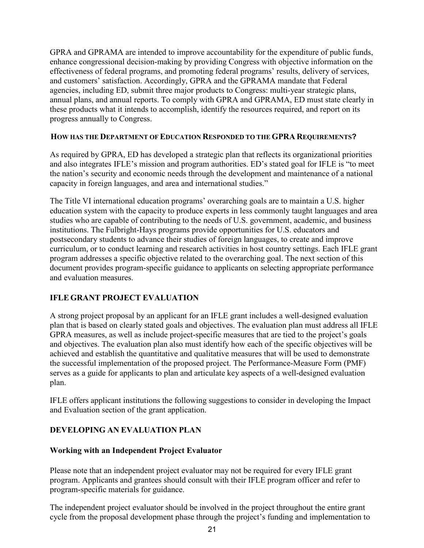GPRA and GPRAMA are intended to improve accountability for the expenditure of public funds, enhance congressional decision-making by providing Congress with objective information on the effectiveness of federal programs, and promoting federal programs' results, delivery of services, and customers' satisfaction. Accordingly, GPRA and the GPRAMA mandate that Federal agencies, including ED, submit three major products to Congress: multi-year strategic plans, annual plans, and annual reports. To comply with GPRA and GPRAMA, ED must state clearly in these products what it intends to accomplish, identify the resources required, and report on its progress annually to Congress.

## **HOW HAS THE DEPARTMENT OF EDUCATION RESPONDED TO THE GPRA REQUIREMENTS?**

As required by GPRA, ED has developed a strategic plan that reflects its organizational priorities and also integrates IFLE's mission and program authorities. ED's stated goal for IFLE is "to meet the nation's security and economic needs through the development and maintenance of a national capacity in foreign languages, and area and international studies."

The Title VI international education programs' overarching goals are to maintain a U.S. higher education system with the capacity to produce experts in less commonly taught languages and area studies who are capable of contributing to the needs of U.S. government, academic, and business institutions. The Fulbright-Hays programs provide opportunities for U.S. educators and postsecondary students to advance their studies of foreign languages, to create and improve curriculum, or to conduct learning and research activities in host country settings. Each IFLE grant program addresses a specific objective related to the overarching goal. The next section of this document provides program-specific guidance to applicants on selecting appropriate performance and evaluation measures.

## **IFLE GRANT PROJECT EVALUATION**

A strong project proposal by an applicant for an IFLE grant includes a well-designed evaluation plan that is based on clearly stated goals and objectives. The evaluation plan must address all IFLE GPRA measures, as well as include project-specific measures that are tied to the project's goals and objectives. The evaluation plan also must identify how each of the specific objectives will be achieved and establish the quantitative and qualitative measures that will be used to demonstrate the successful implementation of the proposed project. The Performance-Measure Form (PMF) serves as a guide for applicants to plan and articulate key aspects of a well-designed evaluation plan.

IFLE offers applicant institutions the following suggestions to consider in developing the Impact and Evaluation section of the grant application.

## **DEVELOPING AN EVALUATION PLAN**

## **Working with an Independent Project Evaluator**

Please note that an independent project evaluator may not be required for every IFLE grant program. Applicants and grantees should consult with their IFLE program officer and refer to program-specific materials for guidance.

The independent project evaluator should be involved in the project throughout the entire grant cycle from the proposal development phase through the project's funding and implementation to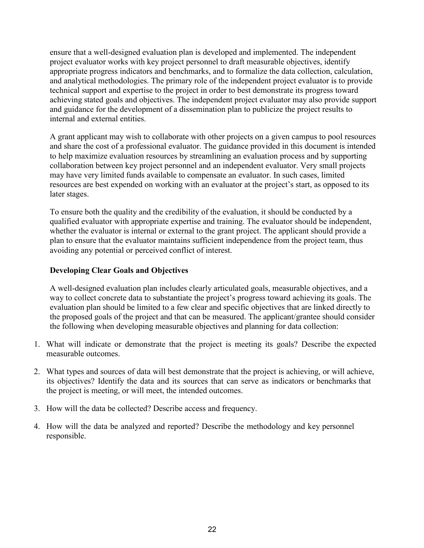ensure that a well-designed evaluation plan is developed and implemented. The independent project evaluator works with key project personnel to draft measurable objectives, identify appropriate progress indicators and benchmarks, and to formalize the data collection, calculation, and analytical methodologies. The primary role of the independent project evaluator is to provide technical support and expertise to the project in order to best demonstrate its progress toward achieving stated goals and objectives. The independent project evaluator may also provide support and guidance for the development of a dissemination plan to publicize the project results to internal and external entities.

A grant applicant may wish to collaborate with other projects on a given campus to pool resources and share the cost of a professional evaluator. The guidance provided in this document is intended to help maximize evaluation resources by streamlining an evaluation process and by supporting collaboration between key project personnel and an independent evaluator. Very small projects may have very limited funds available to compensate an evaluator. In such cases, limited resources are best expended on working with an evaluator at the project's start, as opposed to its later stages.

To ensure both the quality and the credibility of the evaluation, it should be conducted by a qualified evaluator with appropriate expertise and training. The evaluator should be independent, whether the evaluator is internal or external to the grant project. The applicant should provide a plan to ensure that the evaluator maintains sufficient independence from the project team, thus avoiding any potential or perceived conflict of interest.

### **Developing Clear Goals and Objectives**

A well-designed evaluation plan includes clearly articulated goals, measurable objectives, and a way to collect concrete data to substantiate the project's progress toward achieving its goals. The evaluation plan should be limited to a few clear and specific objectives that are linked directly to the proposed goals of the project and that can be measured. The applicant/grantee should consider the following when developing measurable objectives and planning for data collection:

- 1. What will indicate or demonstrate that the project is meeting its goals? Describe the expected measurable outcomes.
- 2. What types and sources of data will best demonstrate that the project is achieving, or will achieve, its objectives? Identify the data and its sources that can serve as indicators or benchmarks that the project is meeting, or will meet, the intended outcomes.
- 3. How will the data be collected? Describe access and frequency.
- 4. How will the data be analyzed and reported? Describe the methodology and key personnel responsible.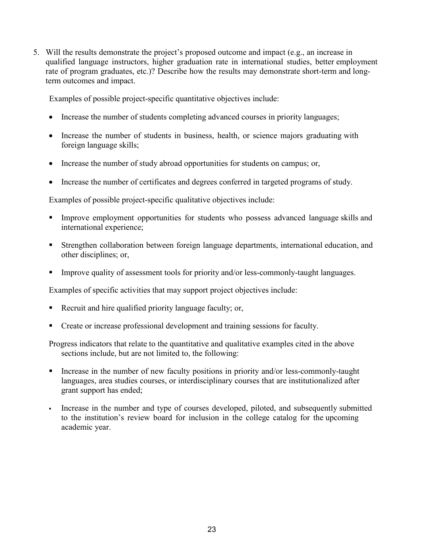5. Will the results demonstrate the project's proposed outcome and impact (e.g., an increase in qualified language instructors, higher graduation rate in international studies, better employment rate of program graduates, etc.)? Describe how the results may demonstrate short-term and longterm outcomes and impact.

Examples of possible project-specific quantitative objectives include:

- Increase the number of students completing advanced courses in priority languages;
- Increase the number of students in business, health, or science majors graduating with foreign language skills;
- Increase the number of study abroad opportunities for students on campus; or,
- Increase the number of certificates and degrees conferred in targeted programs of study.

Examples of possible project-specific qualitative objectives include:

- **Improve employment opportunities for students who possess advanced language skills and** international experience;
- Strengthen collaboration between foreign language departments, international education, and other disciplines; or,
- Improve quality of assessment tools for priority and/or less-commonly-taught languages.

Examples of specific activities that may support project objectives include:

- Recruit and hire qualified priority language faculty; or,
- Create or increase professional development and training sessions for faculty.

Progress indicators that relate to the quantitative and qualitative examples cited in the above sections include, but are not limited to, the following:

- Increase in the number of new faculty positions in priority and/or less-commonly-taught languages, area studies courses, or interdisciplinary courses that are institutionalized after grant support has ended;
- Increase in the number and type of courses developed, piloted, and subsequently submitted to the institution's review board for inclusion in the college catalog for the upcoming academic year.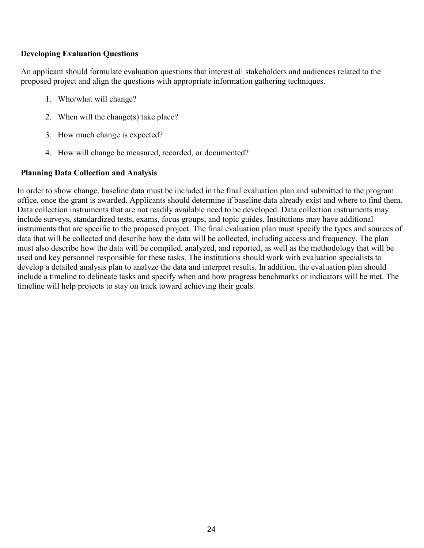## **Developing Evaluation Questions**

An applicant should formulate evaluation questions that interest all stakeholders and audiences related to the proposed project and align the questions with appropriate information gathering techniques.

- 1. Who/what will change?
- 2. When will the change(s) take place?
- 3. How much change is expected?
- 4. How will change be measured, recorded, or documented?

## **Planning Data Collection and Analysis**

In order to show change, baseline data must be included in the final evaluation plan and submitted to the program office, once the grant is awarded. Applicants should determine if baseline data already exist and where to find them. Data collection instruments that are not readily available need to be developed. Data collection instruments may include surveys, standardized tests, exams, focus groups, and topic guides. Institutions may have additional instruments that are specific to the proposed project. The final evaluation plan must specify the types and sources of data that will be collected and describe how the data will be collected, including access and frequency. The plan must also describe how the data will be compiled, analyzed, and reported, as well as the methodology that will be used and key personnel responsible for these tasks. The institutions should work with evaluation specialists to develop a detailed analysis plan to analyze the data and interpret results. In addition, the evaluation plan should include a timeline to delineate tasks and specify when and how progress benchmarks or indicators will be met. The timeline will help projects to stay on track toward achieving their goals.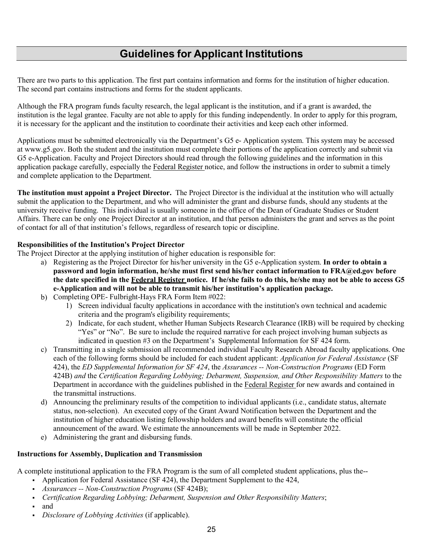## **Guidelines for Applicant Institutions**

<span id="page-24-0"></span>There are two parts to this application. The first part contains information and forms for the institution of higher education. The second part contains instructions and forms for the student applicants.

Although the FRA program funds faculty research, the legal applicant is the institution, and if a grant is awarded, the institution is the legal grantee. Faculty are not able to apply for this funding independently. In order to apply for this program, it is necessary for the applicant and the institution to coordinate their activities and keep each other informed.

Applications must be submitted electronically via the Department's G5 e- Application system. This system may be accessed at [www.g5.gov. B](http://www.g5.gov/)oth the student and the institution must complete their portions of the application correctly and submit via G5 e-Application. Faculty and Project Directors should read through the following guidelines and the information in this application package carefully, especially the Federal Register notice, and follow the instructions in order to submit a timely and complete application to the Department.

**The institution must appoint a Project Director.** The Project Director is the individual at the institution who will actually submit the application to the Department, and who will administer the grant and disburse funds, should any students at the university receive funding. This individual is usually someone in the office of the Dean of Graduate Studies or Student Affairs. There can be only one Project Director at an institution, and that person administers the grant and serves as the point of contact for all of that institution's fellows, regardless of research topic or discipline.

### **Responsibilities of the Institution's Project Director**

The Project Director at the applying institution of higher education is responsible for:

- a) Registering as the Project Director for his/her university in the G5 e-Application system. **In order to obtain a password and login information, he/she must first send his/her contact information [to FRA@ed.gov b](mailto:to%20FRA@ed.gov)efore the date specified in the Federal Register notice. If he/she fails to do this, he/she may not be able to access G5 e-Application and will not be able to transmit his/her institution's application package.**
- b) Completing OPE- Fulbright-Hays FRA Form Item #022:
	- 1) Screen individual faculty applications in accordance with the institution's own technical and academic criteria and the program's eligibility requirements;
	- 2) Indicate, for each student, whether Human Subjects Research Clearance (IRB) will be required by checking "Yes" or "No". Be sure to include the required narrative for each project involving human subjects as indicated in question #3 on the Department's Supplemental Information for SF 424 form.
- c) Transmitting in a single submission all recommended individual Faculty Research Abroad faculty applications. One each of the following forms should be included for each student applicant: *Application for Federal Assistance* (SF 424), the *ED Supplemental Information for SF 424*, the *Assurances -- Non-Construction Programs* (ED Form 424B) *and* the *Certification Regarding Lobbying; Debarment, Suspension, and Other Responsibility Matters* to the Department in accordance with the guidelines published in the Federal Register for new awards and contained in the transmittal instructions.
- d) Announcing the preliminary results of the competition to individual applicants (i.e., candidate status, alternate status, non-selection). An executed copy of the Grant Award Notification between the Department and the institution of higher education listing fellowship holders and award benefits will constitute the official announcement of the award. We estimate the announcements will be made in September 2022.
- e) Administering the grant and disbursing funds.

#### **Instructions for Assembly, Duplication and Transmission**

A complete institutional application to the FRA Program is the sum of all completed student applications, plus the--

- Application for Federal Assistance (SF 424), the Department Supplement to the  $424$ ,
- *Assurances -- Non-Construction Programs* (SF 424B);
- *Certification Regarding Lobbying; Debarment, Suspension and Other Responsibility Matters*;
- and
- *Disclosure of Lobbying Activities* (if applicable).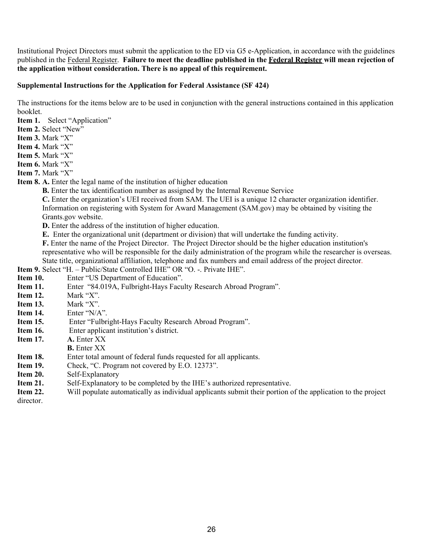Institutional Project Directors must submit the application to the ED via G5 e-Application, in accordance with the guidelines published in the Federal Register. **Failure to meet the deadline published in the Federal Register will mean rejection of the application without consideration. There is no appeal of this requirement.**

#### **Supplemental Instructions for the Application for Federal Assistance (SF 424)**

The instructions for the items below are to be used in conjunction with the general instructions contained in this application booklet.

- **Item 1.** Select "Application"
- **Item 2.** Select "New"
- **Item 3.** Mark "X"
- **Item 4.** Mark "X"
- **Item 5.** Mark "X"
- **Item 6.** Mark "X"
- **Item 7.** Mark "X"
- **Item 8. A.** Enter the legal name of the institution of higher education
	- **B.** Enter the tax identification number as assigned by the Internal Revenue Service

**C.** Enter the organization's UEI received from SAM. The UEI is a unique 12 character organization identifier. Information on registering with System for Award Management (SAM.gov) may be obtained by visiting the Grants.gov website.

- **D.** Enter the address of the institution of higher education.
- **E.** Enter the organizational unit (department or division) that will undertake the funding activity.

**F.** Enter the name of the Project Director. The Project Director should be the higher education institution's representative who will be responsible for the daily administration of the program while the researcher is overseas. State title, organizational affiliation, telephone and fax numbers and email address of the project director.

- **Item 9.** Select "H. Public/State Controlled IHE" OR "O. -. Private IHE".
- **Item 10.** Enter "US Department of Education".
- **Item 11.** Enter "84.019A, Fulbright-Hays Faculty Research Abroad Program".
- **Item 12.** Mark "X".<br> **Item 13.** Mark "X".
- Mark "X".
- **Item 14.** Enter "N/A".
- **Item 15.** Enter "Fulbright-Hays Faculty Research Abroad Program".
- **Item 16.** Enter applicant institution's district.
- **Item 17. A.** Enter XX
- **B.** Enter XX
- **Item 18.** Enter total amount of federal funds requested for all applicants.
- **Item 19.** Check, "C. Program not covered by E.O. 12373".
- **Item 20.** Self-Explanatory
- **Item 21.** Self-Explanatory to be completed by the IHE's authorized representative.
- **Item 22.** Will populate automatically as individual applicants submit their portion of the application to the project director.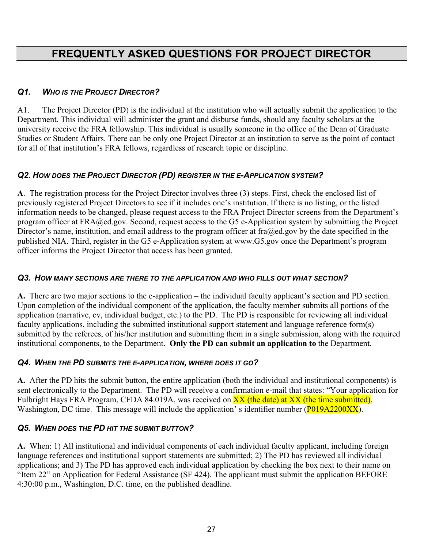## <span id="page-26-0"></span>**FREQUENTLY ASKED QUESTIONS FOR PROJECT DIRECTOR**

## *Q1. WHO IS THE PROJECT DIRECTOR?*

A1. The Project Director (PD) is the individual at the institution who will actually submit the application to the Department. This individual will administer the grant and disburse funds, should any faculty scholars at the university receive the FRA fellowship. This individual is usually someone in the office of the Dean of Graduate Studies or Student Affairs. There can be only one Project Director at an institution to serve as the point of contact for all of that institution's FRA fellows, regardless of research topic or discipline.

## *Q2. HOW DOES THE PROJECT DIRECTOR (PD) REGISTER IN THE E-APPLICATION SYSTEM?*

**A**. The registration process for the Project Director involves three (3) steps. First, check the enclosed list of previously registered Project Directors to see if it includes one's institution. If there is no listing, or the listed information needs to be changed, please request access to the FRA Project Director screens from the Department's program officer at FRA@ed.gov. Second, request access to the G5 e-Application system by submitting the Project Director's name, institution, and email address to the program officer at fra@ed.gov by the date specified in the published NIA. Third, register in the G5 e-Application system at www.G5.gov once the Department's program officer informs the Project Director that access has been granted.

## *Q3. HOW MANY SECTIONS ARE THERE TO THE APPLICATION AND WHO FILLS OUT WHAT SECTION?*

**A.** There are two major sections to the e-application – the individual faculty applicant's section and PD section. Upon completion of the individual component of the application, the faculty member submits all portions of the application (narrative, cv, individual budget, etc.) to the PD. The PD is responsible for reviewing all individual faculty applications, including the submitted institutional support statement and language reference form(s) submitted by the referees, of his/her institution and submitting them in a single submission, along with the required institutional components, to the Department. **Only the PD can submit an application to** the Department.

## *Q4. WHEN THE PD SUBMITS THE E-APPLICATION, WHERE DOES IT GO?*

**A.** After the PD hits the submit button, the entire application (both the individual and institutional components) is sent electronically to the Department. The PD will receive a confirmation e-mail that states: "Your application for Fulbright Hays FRA Program, CFDA 84.019A, was received on **XX** (the date) at XX (the time submitted), Washington, DC time. This message will include the application' s identifier number (P019A2200XX).

## *Q5. WHEN DOES THE PD HIT THE SUBMIT BUTTON?*

**A.** When: 1) All institutional and individual components of each individual faculty applicant, including foreign language references and institutional support statements are submitted; 2) The PD has reviewed all individual applications; and 3) The PD has approved each individual application by checking the box next to their name on "Item 22" on Application for Federal Assistance (SF 424). The applicant must submit the application BEFORE 4:30:00 p.m., Washington, D.C. time, on the published deadline.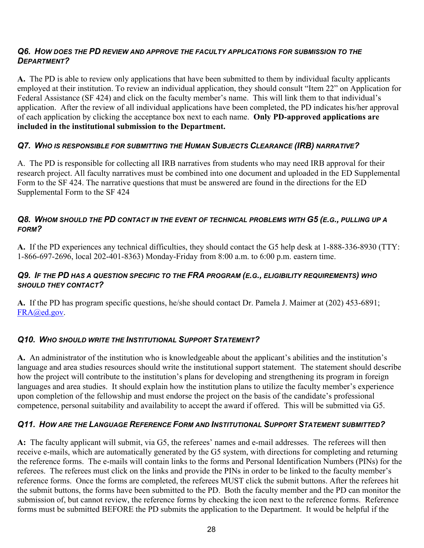## *Q6. HOW DOES THE PD REVIEW AND APPROVE THE FACULTY APPLICATIONS FOR SUBMISSION TO THE DEPARTMENT?*

**A.** The PD is able to review only applications that have been submitted to them by individual faculty applicants employed at their institution. To review an individual application, they should consult "Item 22" on Application for Federal Assistance (SF 424) and click on the faculty member's name. This will link them to that individual's application. After the review of all individual applications have been completed, the PD indicates his/her approval of each application by clicking the acceptance box next to each name. **Only PD-approved applications are included in the institutional submission to the Department.** 

## *Q7. WHO IS RESPONSIBLE FOR SUBMITTING THE HUMAN SUBJECTS CLEARANCE (IRB) NARRATIVE?*

A. The PD is responsible for collecting all IRB narratives from students who may need IRB approval for their research project. All faculty narratives must be combined into one document and uploaded in the ED Supplemental Form to the SF 424. The narrative questions that must be answered are found in the directions for the ED Supplemental Form to the SF 424

## *Q8. WHOM SHOULD THE PD CONTACT IN THE EVENT OF TECHNICAL PROBLEMS WITH G5 (E.G., PULLING UP A FORM?*

**A.** If the PD experiences any technical difficulties, they should contact the G5 help desk at 1-888-336-8930 (TTY: 1-866-697-2696, local 202-401-8363) Monday-Friday from 8:00 a.m. to 6:00 p.m. eastern time.

## *Q9. IF THE PD HAS A QUESTION SPECIFIC TO THE FRA PROGRAM (E.G., ELIGIBILITY REQUIREMENTS) WHO SHOULD THEY CONTACT?*

**A.** If the PD has program specific questions, he/she should contact Dr. Pamela J. Maimer at (202) 453-6891; [FRA@ed.gov.](mailto:FRA@ed.gov)

## *Q10. WHO SHOULD WRITE THE INSTITUTIONAL SUPPORT STATEMENT?*

**A.** An administrator of the institution who is knowledgeable about the applicant's abilities and the institution's language and area studies resources should write the institutional support statement. The statement should describe how the project will contribute to the institution's plans for developing and strengthening its program in foreign languages and area studies. It should explain how the institution plans to utilize the faculty member's experience upon completion of the fellowship and must endorse the project on the basis of the candidate's professional competence, personal suitability and availability to accept the award if offered. This will be submitted via G5.

## *Q11. HOW ARE THE LANGUAGE REFERENCE FORM AND INSTITUTIONAL SUPPORT STATEMENT SUBMITTED?*

**A:** The faculty applicant will submit, via G5, the referees' names and e-mail addresses. The referees will then receive e-mails, which are automatically generated by the G5 system, with directions for completing and returning the reference forms. The e-mails will contain links to the forms and Personal Identification Numbers (PINs) for the referees. The referees must click on the links and provide the PINs in order to be linked to the faculty member's reference forms. Once the forms are completed, the referees MUST click the submit buttons. After the referees hit the submit buttons, the forms have been submitted to the PD. Both the faculty member and the PD can monitor the submission of, but cannot review, the reference forms by checking the icon next to the reference forms. Reference forms must be submitted BEFORE the PD submits the application to the Department. It would be helpful if the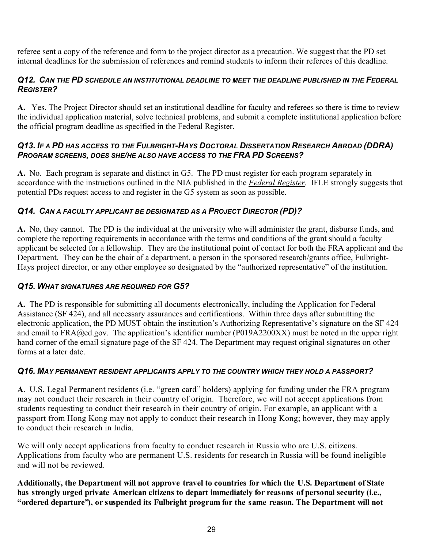referee sent a copy of the reference and form to the project director as a precaution. We suggest that the PD set internal deadlines for the submission of references and remind students to inform their referees of this deadline.

## *Q12. CAN THE PD SCHEDULE AN INSTITUTIONAL DEADLINE TO MEET THE DEADLINE PUBLISHED IN THE FEDERAL REGISTER?*

**A.** Yes. The Project Director should set an institutional deadline for faculty and referees so there is time to review the individual application material, solve technical problems, and submit a complete institutional application before the official program deadline as specified in the Federal Register.

## *Q13. IF A PD HAS ACCESS TO THE FULBRIGHT-HAYS DOCTORAL DISSERTATION RESEARCH ABROAD (DDRA) PROGRAM SCREENS, DOES SHE/HE ALSO HAVE ACCESS TO THE FRA PD SCREENS?*

**A.** No. Each program is separate and distinct in G5. The PD must register for each program separately in accordance with the instructions outlined in the NIA published in the *Federal Register.* IFLE strongly suggests that potential PDs request access to and register in the G5 system as soon as possible.

## *Q14. CAN A FACULTY APPLICANT BE DESIGNATED AS A PROJECT DIRECTOR (PD)?*

**A.** No, they cannot. The PD is the individual at the university who will administer the grant, disburse funds, and complete the reporting requirements in accordance with the terms and conditions of the grant should a faculty applicant be selected for a fellowship. They are the institutional point of contact for both the FRA applicant and the Department. They can be the chair of a department, a person in the sponsored research/grants office, Fulbright-Hays project director, or any other employee so designated by the "authorized representative" of the institution.

## *Q15. WHAT SIGNATURES ARE REQUIRED FOR G5?*

**A.** The PD is responsible for submitting all documents electronically, including the Application for Federal Assistance (SF 424), and all necessary assurances and certifications. Within three days after submitting the electronic application, the PD MUST obtain the institution's Authorizing Representative's signature on the SF 424 and email to FRA@ed.gov. The application's identifier number (P019A2200XX) must be noted in the upper right hand corner of the email signature page of the SF 424. The Department may request original signatures on other forms at a later date.

## *Q16. MAY PERMANENT RESIDENT APPLICANTS APPLY TO THE COUNTRY WHICH THEY HOLD A PASSPORT?*

**A**. U.S. Legal Permanent residents (i.e. "green card" holders) applying for funding under the FRA program may not conduct their research in their country of origin. Therefore, we will not accept applications from students requesting to conduct their research in their country of origin. For example, an applicant with a passport from Hong Kong may not apply to conduct their research in Hong Kong; however, they may apply to conduct their research in India.

We will only accept applications from faculty to conduct research in Russia who are U.S. citizens. Applications from faculty who are permanent U.S. residents for research in Russia will be found ineligible and will not be reviewed.

**Additionally, the Department will not approve travel to countries for which the U.S. Department of State has strongly urged private American citizens to depart immediately for reasons of personal security (i.e., "ordered departure"), or suspended its Fulbright program for the same reason. The Department will not**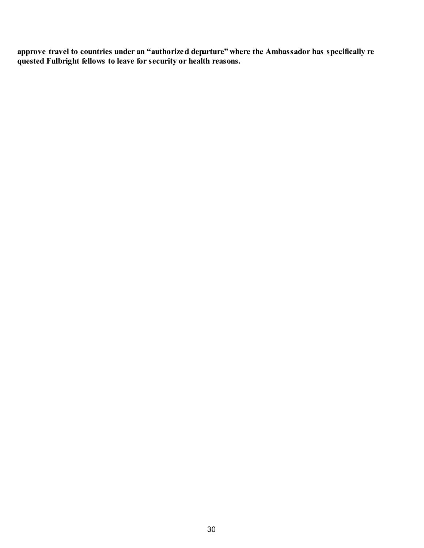**approve travel to countries under an "authorize d departure" where the Ambassador has specifically re quested Fulbright fellows to leave for security or health reasons.**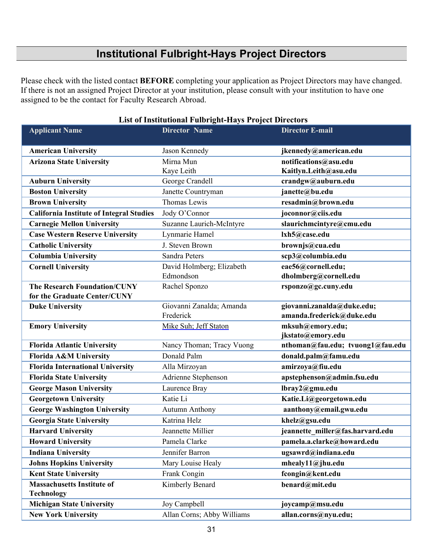## **Institutional Fulbright-Hays Project Directors**

<span id="page-30-0"></span>Please check with the listed contact **BEFORE** completing your application as Project Directors may have changed. If there is not an assigned Project Director at your institution, please consult with your institution to have one assigned to be the contact for Faculty Research Abroad.

| <b>List of Institutional Fulbright-Hays Project Directors</b> |                            |                                  |  |  |
|---------------------------------------------------------------|----------------------------|----------------------------------|--|--|
| <b>Applicant Name</b>                                         | <b>Director Name</b>       | <b>Director E-mail</b>           |  |  |
| <b>American University</b>                                    | Jason Kennedy              | jkennedy@american.edu            |  |  |
| <b>Arizona State University</b>                               | Mirna Mun                  | notifications@asu.edu            |  |  |
|                                                               | Kaye Leith                 | Kaitlyn.Leith@asu.edu            |  |  |
| <b>Auburn University</b>                                      | George Crandell            | crandgw@auburn.edu               |  |  |
| <b>Boston University</b>                                      | Janette Countryman         | janette@bu.edu                   |  |  |
| <b>Brown University</b>                                       | Thomas Lewis               | resadmin@brown.edu               |  |  |
| <b>California Institute of Integral Studies</b>               | Jody O'Connor              | joconnor@ciis.edu                |  |  |
| <b>Carnegie Mellon University</b>                             | Suzanne Laurich-McIntyre   | slaurichmcintyre@cmu.edu         |  |  |
| <b>Case Western Reserve University</b>                        | Lynmarie Hamel             | lxh5@case.edu                    |  |  |
| <b>Catholic University</b>                                    | J. Steven Brown            | brownjs@cua.edu                  |  |  |
| <b>Columbia University</b>                                    | <b>Sandra Peters</b>       | scp3@columbia.edu                |  |  |
| <b>Cornell University</b>                                     | David Holmberg; Elizabeth  | eae56@cornell.edu;               |  |  |
|                                                               | Edmondson                  | dholmberg@cornell.edu            |  |  |
| The Research Foundation/CUNY                                  | Rachel Sponzo              | rsponzo@gc.cuny.edu              |  |  |
| for the Graduate Center/CUNY                                  |                            |                                  |  |  |
| <b>Duke University</b>                                        | Giovanni Zanalda; Amanda   | giovanni.zanalda@duke.edu;       |  |  |
|                                                               | Frederick                  | amanda.frederick@duke.edu        |  |  |
| <b>Emory University</b>                                       | Mike Suh; Jeff Staton      | mksuh@emory.edu;                 |  |  |
|                                                               |                            | jkstato@emory.edu                |  |  |
| <b>Florida Atlantic University</b>                            | Nancy Thoman; Tracy Vuong  | nthoman@fau.edu; tvuong1@fau.edu |  |  |
| <b>Florida A&amp;M University</b>                             | Donald Palm                | donald.palm@famu.edu             |  |  |
| <b>Florida International University</b>                       | Alla Mirzoyan              | amirzoya@fiu.edu                 |  |  |
| <b>Florida State University</b>                               | Adrienne Stephenson        | apstephenson@admin.fsu.edu       |  |  |
| <b>George Mason University</b>                                | Laurence Bray              | lbray2@gmu.edu                   |  |  |
| <b>Georgetown University</b>                                  | Katie Li                   | Katie.Li@georgetown.edu          |  |  |
| <b>George Washington University</b>                           | <b>Autumn Anthony</b>      | aanthony@email.gwu.edu           |  |  |
| <b>Georgia State University</b>                               | Katrina Helz               | khelz@gsu.edu                    |  |  |
| <b>Harvard University</b>                                     | Jeannette Millier          | jeannette_miller@fas.harvard.edu |  |  |
| <b>Howard University</b>                                      | Pamela Clarke              | pamela.a.clarke@howard.edu       |  |  |
| <b>Indiana University</b>                                     | Jennifer Barron            | ugsawrd@indiana.edu              |  |  |
| <b>Johns Hopkins University</b>                               | Mary Louise Healy          | mhealy11@jhu.edu                 |  |  |
| <b>Kent State University</b>                                  | Frank Congin               | fcongin@kent.edu                 |  |  |
| <b>Massachusetts Institute of</b>                             | Kimberly Benard            | benard@mit.edu                   |  |  |
| <b>Technology</b>                                             |                            |                                  |  |  |
| <b>Michigan State University</b>                              | Joy Campbell               | joycamp@msu.edu                  |  |  |
| <b>New York University</b>                                    | Allan Corns; Abby Williams | allan.corns@nyu.edu;             |  |  |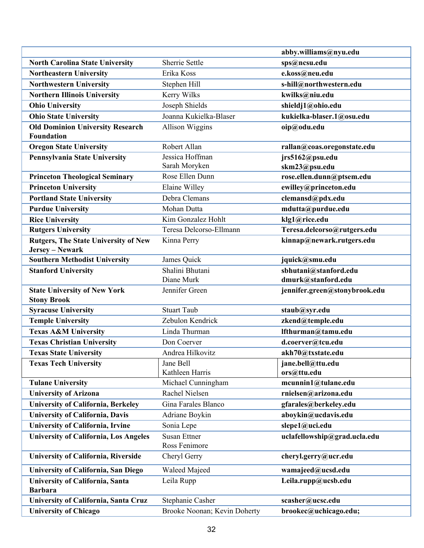|                                                              |                                  | abby.williams@nyu.edu            |
|--------------------------------------------------------------|----------------------------------|----------------------------------|
| <b>North Carolina State University</b>                       | Sherrie Settle                   | sps@ncsu.edu                     |
| <b>Northeastern University</b>                               | Erika Koss                       | e.koss@neu.edu                   |
| <b>Northwestern University</b>                               | Stephen Hill                     | s-hill@northwestern.edu          |
| <b>Northern Illinois University</b>                          | Kerry Wilks                      | kwilks@niu.edu                   |
| <b>Ohio University</b>                                       | Joseph Shields                   | shieldj1@ohio.edu                |
| <b>Ohio State University</b>                                 | Joanna Kukielka-Blaser           | kukielka-blaser.1@osu.edu        |
| <b>Old Dominion University Research</b><br><b>Foundation</b> | <b>Allison Wiggins</b>           | oip@odu.edu                      |
| <b>Oregon State University</b>                               | Robert Allan                     | rallan@coas.oregonstate.edu      |
| Pennsylvania State University                                | Jessica Hoffman<br>Sarah Moryken | jrs5162@psu.edu<br>skm23@psu.edu |
| <b>Princeton Theological Seminary</b>                        | Rose Ellen Dunn                  | rose.ellen.dunn@ptsem.edu        |
| <b>Princeton University</b>                                  | Elaine Willey                    | ewilley@princeton.edu            |
| <b>Portland State University</b>                             | Debra Clemans                    | clemansd@pdx.edu                 |
| <b>Purdue University</b>                                     | Mohan Dutta                      | mdutta@purdue.edu                |
| <b>Rice University</b>                                       | Kim Gonzalez Hohlt               | klg1@rice.edu                    |
| <b>Rutgers University</b>                                    | Teresa Delcorso-Ellmann          | Teresa.delcorso@rutgers.edu      |
| <b>Rutgers, The State University of New</b>                  | Kinna Perry                      | kinnap@newark.rutgers.edu        |
| Jersey - Newark                                              |                                  |                                  |
| <b>Southern Methodist University</b>                         | James Quick                      | jquick@smu.edu                   |
| <b>Stanford University</b>                                   | Shalini Bhutani                  | sbhutani@stanford.edu            |
|                                                              | Diane Murk                       | dmurk@stanford.edu               |
| <b>State University of New York</b><br><b>Stony Brook</b>    | Jennifer Green                   | jennifer.green@stonybrook.edu    |
| <b>Syracuse University</b>                                   | <b>Stuart Taub</b>               | staub@syr.edu                    |
| <b>Temple University</b>                                     | Zebulon Kendrick                 | zkend@temple.edu                 |
| <b>Texas A&amp;M University</b>                              | Linda Thurman                    | lfthurman@tamu.edu               |
| <b>Texas Christian University</b>                            | Don Coerver                      | d.coerver@tcu.edu                |
| <b>Texas State University</b>                                | Andrea Hilkovitz                 | akh70@txstate.edu                |
| <b>Texas Tech University</b>                                 | Jane Bell                        | jane.bell@ttu.edu                |
|                                                              | Kathleen Harris                  | ors@ttu.edu                      |
| <b>Tulane University</b>                                     | Michael Cunningham               | mcunnin1@tulane.edu              |
| <b>University of Arizona</b>                                 | Rachel Nielsen                   | rnielsen@arizona.edu             |
| <b>University of California, Berkeley</b>                    | Gina Farales Blanco              | gfarales@berkeley.edu            |
| <b>University of California, Davis</b>                       | Adriane Boykin                   | aboykin@ucdavis.edu              |
| <b>University of California, Irvine</b>                      | Sonia Lepe                       | slepe1@uci.edu                   |
| <b>University of California, Los Angeles</b>                 | <b>Susan Ettner</b>              | uclafellowship@grad.ucla.edu     |
|                                                              | Ross Fenimore                    |                                  |
| <b>University of California, Riverside</b>                   | Cheryl Gerry                     | cheryl.gerry@ucr.edu             |
| University of California, San Diego                          | Waleed Majeed                    | wamajeed@ucsd.edu                |
| University of California, Santa<br><b>Barbara</b>            | Leila Rupp                       | Leila.rupp@ucsb.edu              |
| University of California, Santa Cruz                         | Stephanie Casher                 | scasher@ucsc.edu                 |
| <b>University of Chicago</b>                                 | Brooke Noonan; Kevin Doherty     | brookec@uchicago.edu;            |
|                                                              |                                  |                                  |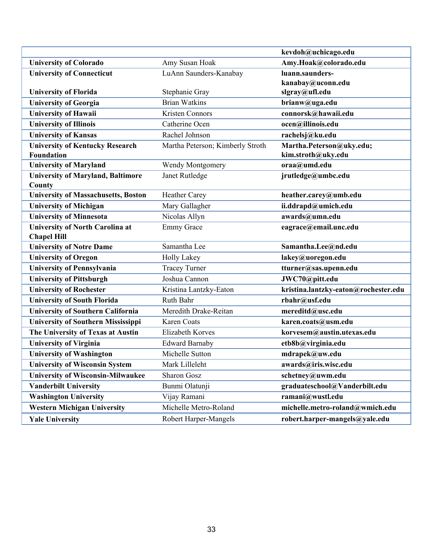|                                            |                                  | kevdoh@uchicago.edu                  |
|--------------------------------------------|----------------------------------|--------------------------------------|
| <b>University of Colorado</b>              | Amy Susan Hoak                   | Amy.Hoak@colorado.edu                |
| <b>University of Connecticut</b>           | LuAnn Saunders-Kanabay           | luann.saunders-                      |
|                                            |                                  | kanabay@uconn.edu                    |
| <b>University of Florida</b>               | Stephanie Gray                   | slgray@ufl.edu                       |
| <b>University of Georgia</b>               | <b>Brian Watkins</b>             | brianw@uga.edu                       |
| <b>University of Hawaii</b>                | Kristen Connors                  | connorsk@hawaii.edu                  |
| <b>University of Illinois</b>              | Catherine Ocen                   | ocen@illinois.edu                    |
| <b>University of Kansas</b>                | Rachel Johnson                   | rachelsj@ku.edu                      |
| <b>University of Kentucky Research</b>     | Martha Peterson; Kimberly Stroth | Martha.Peterson@uky.edu;             |
| <b>Foundation</b>                          |                                  | kim.stroth@uky.edu                   |
| <b>University of Maryland</b>              | <b>Wendy Montgomery</b>          | oraa@umd.edu                         |
| <b>University of Maryland, Baltimore</b>   | Janet Rutledge                   | jrutledge@umbc.edu                   |
| County                                     |                                  |                                      |
| <b>University of Massachusetts, Boston</b> | <b>Heather Carey</b>             | heather.carey@umb.edu                |
| <b>University of Michigan</b>              | Mary Gallagher                   | ii.ddrapd@umich.edu                  |
| <b>University of Minnesota</b>             | Nicolas Allyn                    | awards@umn.edu                       |
| <b>University of North Carolina at</b>     | <b>Emmy Grace</b>                | eagrace@email.unc.edu                |
| <b>Chapel Hill</b>                         | Samantha Lee                     | Samantha.Lee@nd.edu                  |
| <b>University of Notre Dame</b>            |                                  |                                      |
| <b>University of Oregon</b>                | <b>Holly Lakey</b>               | lakey@uoregon.edu                    |
| <b>University of Pennsylvania</b>          | <b>Tracey Turner</b>             | tturner@sas.upenn.edu                |
| <b>University of Pittsburgh</b>            | Joshua Cannon                    | JWC70@pitt.edu                       |
| <b>University of Rochester</b>             | Kristina Lantzky-Eaton           | kristina.lantzky-eaton@rochester.edu |
| <b>University of South Florida</b>         | Ruth Bahr                        | rbahr@usf.edu                        |
| <b>University of Southern California</b>   | Meredith Drake-Reitan            | mereditd@usc.edu                     |
| <b>University of Southern Mississippi</b>  | <b>Karen Coats</b>               | karen.coats@usm.edu                  |
| The University of Texas at Austin          | <b>Elizabeth Korves</b>          | korvesem@austin.utexas.edu           |
| <b>University of Virginia</b>              | <b>Edward Barnaby</b>            | etb8b@virginia.edu                   |
| <b>University of Washington</b>            | Michelle Sutton                  | mdrapek@uw.edu                       |
| <b>University of Wisconsin System</b>      | Mark Lilleleht                   | awards@iris.wisc.edu                 |
| <b>University of Wisconsin-Milwaukee</b>   | <b>Sharon Gosz</b>               | schetney@uwm.edu                     |
| <b>Vanderbilt University</b>               | Bunmi Olatunji                   | graduateschool@Vanderbilt.edu        |
| <b>Washington University</b>               | Vijay Ramani                     | ramani@wustl.edu                     |
| <b>Western Michigan University</b>         | Michelle Metro-Roland            | michelle.metro-roland@wmich.edu      |
| <b>Yale University</b>                     | Robert Harper-Mangels            | robert.harper-mangels@yale.edu       |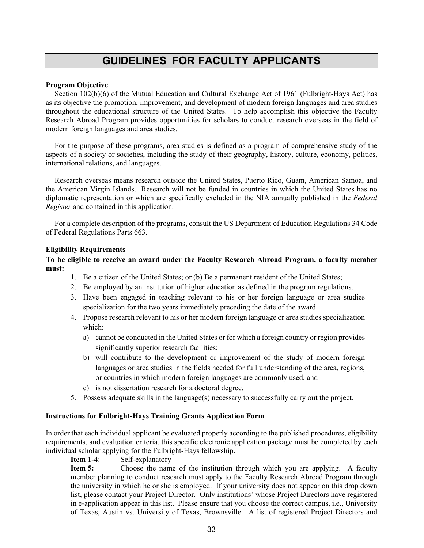## **GUIDELINES FOR FACULTY APPLICANTS**

#### <span id="page-33-0"></span>**Program Objective**

Section 102(b)(6) of the Mutual Education and Cultural Exchange Act of 1961 (Fulbright-Hays Act) has as its objective the promotion, improvement, and development of modern foreign languages and area studies throughout the educational structure of the United States. To help accomplish this objective the Faculty Research Abroad Program provides opportunities for scholars to conduct research overseas in the field of modern foreign languages and area studies.

For the purpose of these programs, area studies is defined as a program of comprehensive study of the aspects of a society or societies, including the study of their geography, history, culture, economy, politics, international relations, and languages.

Research overseas means research outside the United States, Puerto Rico, Guam, American Samoa, and the American Virgin Islands. Research will not be funded in countries in which the United States has no diplomatic representation or which are specifically excluded in the NIA annually published in the *Federal Register* and contained in this application.

For a complete description of the programs, consult the US Department of Education Regulations 34 Code of Federal Regulations Parts 663.

#### **Eligibility Requirements**

#### **To be eligible to receive an award under the Faculty Research Abroad Program, a faculty member must:**

- 1. Be a citizen of the United States; or (b) Be a permanent resident of the United States;
- 2. Be employed by an institution of higher education as defined in the program regulations.
- 3. Have been engaged in teaching relevant to his or her foreign language or area studies specialization for the two years immediately preceding the date of the award.
- 4. Propose research relevant to his or her modern foreign language or area studies specialization which:
	- a) cannot be conducted in the United States or for which a foreign country or region provides significantly superior research facilities;
	- b) will contribute to the development or improvement of the study of modern foreign languages or area studies in the fields needed for full understanding of the area, regions, or countries in which modern foreign languages are commonly used, and
	- c) is not dissertation research for a doctoral degree.
- 5. Possess adequate skills in the language(s) necessary to successfully carry out the project.

#### **Instructions for Fulbright-Hays Training Grants Application Form**

In order that each individual applicant be evaluated properly according to the published procedures, eligibility requirements, and evaluation criteria, this specific electronic application package must be completed by each individual scholar applying for the Fulbright-Hays fellowship.

**Item 1-4**: Self-explanatory

**Item 5:** Choose the name of the institution through which you are applying. A faculty member planning to conduct research must apply to the Faculty Research Abroad Program through the university in which he or she is employed. If your university does not appear on this drop down list, please contact your Project Director. Only institutions' whose Project Directors have registered in e-application appear in this list. Please ensure that you choose the correct campus, i.e., University of Texas, Austin vs. University of Texas, Brownsville. A list of registered Project Directors and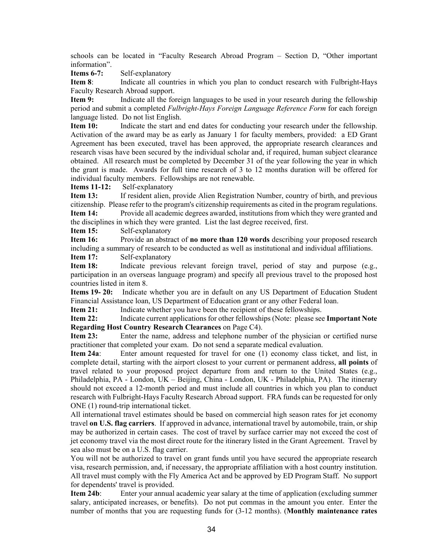schools can be located in "Faculty Research Abroad Program – Section D, "Other important information".

**Items 6-7:** Self-explanatory

**Item 8**: Indicate all countries in which you plan to conduct research with Fulbright-Hays Faculty Research Abroad support.

**Item 9:** Indicate all the foreign languages to be used in your research during the fellowship period and submit a completed *Fulbright-Hays Foreign Language Reference Form* for each foreign language listed. Do not list English.

**Item 10:** Indicate the start and end dates for conducting your research under the fellowship. Activation of the award may be as early as January 1 for faculty members, provided: a ED Grant Agreement has been executed, travel has been approved, the appropriate research clearances and research visas have been secured by the individual scholar and, if required, human subject clearance obtained. All research must be completed by December 31 of the year following the year in which the grant is made. Awards for full time research of 3 to 12 months duration will be offered for individual faculty members. Fellowships are not renewable.

Items 11-12: Self-explanatory

**Item 13:** If resident alien, provide Alien Registration Number, country of birth, and previous citizenship. Please refer to the program's citizenship requirements as cited in the program regulations. **Item 14:** Provide all academic degrees awarded, institutions from which they were granted and the disciplines in which they were granted. List the last degree received, first.

**Item 15:** Self-explanatory

**Item 16:** Provide an abstract of **no more than 120 words** describing your proposed research including a summary of research to be conducted as well as institutional and individual affiliations.

**Item 17:** Self-explanatory

**Item 18:** Indicate previous relevant foreign travel, period of stay and purpose (e.g., participation in an overseas language program) and specify all previous travel to the proposed host countries listed in item 8.

**Items 19- 20:** Indicate whether you are in default on any US Department of Education Student Financial Assistance loan, US Department of Education grant or any other Federal loan.

**Item 21:** Indicate whether you have been the recipient of these fellowships.

**Item 22:** Indicate current applications for other fellowships (Note: please see **Important Note Regarding Host Country Research Clearances** on Page C4).

**Item 23:** Enter the name, address and telephone number of the physician or certified nurse practitioner that completed your exam. Do not send a separate medical evaluation.

**Item 24a**: Enter amount requested for travel for one (1) economy class ticket, and list, in complete detail, starting with the airport closest to your current or permanent address, **all points** of travel related to your proposed project departure from and return to the United States (e.g., Philadelphia, PA - London, UK – Beijing, China - London, UK - Philadelphia, PA). The itinerary should not exceed a 12-month period and must include all countries in which you plan to conduct research with Fulbright-Hays Faculty Research Abroad support. FRA funds can be requested for only ONE (1) round-trip international ticket.

All international travel estimates should be based on commercial high season rates for jet economy travel **on U.S. flag carriers**. If approved in advance, international travel by automobile, train, or ship may be authorized in certain cases. The cost of travel by surface carrier may not exceed the cost of jet economy travel via the most direct route for the itinerary listed in the Grant Agreement. Travel by sea also must be on a U.S. flag carrier.

You will not be authorized to travel on grant funds until you have secured the appropriate research visa, research permission, and, if necessary, the appropriate affiliation with a host country institution. All travel must comply with the Fly America Act and be approved by ED Program Staff. No support for dependents' travel is provided.

**Item 24b**: Enter your annual academic year salary at the time of application (excluding summer salary, anticipated increases, or benefits). Do not put commas in the amount you enter. Enter the number of months that you are requesting funds for (3-12 months). (**Monthly maintenance rates**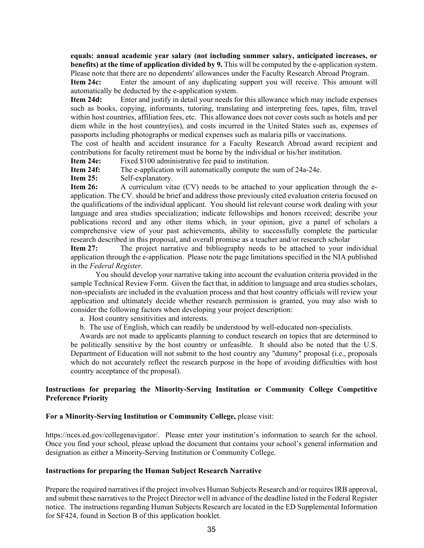**equals: annual academic year salary (not including summer salary, anticipated increases, or benefits) at the time of application divided by 9.** This will be computed by the e-application system. Please note that there are no dependents' allowances under the Faculty Research Abroad Program.

**Item 24c:** Enter the amount of any duplicating support you will receive. This amount will automatically be deducted by the e-application system.

**Item 24d:** Enter and justify in detail your needs for this allowance which may include expenses such as books, copying, informants, tutoring, translating and interpreting fees, tapes, film, travel within host countries, affiliation fees, etc. This allowance does not cover costs such as hotels and per diem while in the host country(ies), and costs incurred in the United States such as, expenses of passports including photographs or medical expenses such as malaria pills or vaccinations.

The cost of health and accident insurance for a Faculty Research Abroad award recipient and contributions for faculty retirement must be borne by the individual or his/her institution.

**Item 24e:** Fixed \$100 administrative fee paid to institution.

**Item 24f:** The e-application will automatically compute the sum of 24a-24e.

**Item 25:** Self-explanatory.

**Item 26:** A curriculum vitae (CV) needs to be attached to your application through the eapplication. The CV. should be brief and address those previously cited evaluation criteria focused on the qualifications of the individual applicant. You should list relevant course work dealing with your language and area studies specialization; indicate fellowships and honors received; describe your publications record and any other items which, in your opinion, give a panel of scholars a comprehensive view of your past achievements, ability to successfully complete the particular research described in this proposal, and overall promise as a teacher and/or research scholar

**Item 27:** The project narrative and bibliography needs to be attached to your individual application through the e-application. Please note the page limitations specified in the NIA published in the *Federal Register.*

You should develop your narrative taking into account the evaluation criteria provided in the sample Technical Review Form. Given the fact that, in addition to language and area studies scholars, non-specialists are included in the evaluation process and that host country officials will review your application and ultimately decide whether research permission is granted, you may also wish to consider the following factors when developing your project description:

a. Host country sensitivities and interests.

b. The use of English, which can readily be understood by well-educated non-specialists.

Awards are not made to applicants planning to conduct research on topics that are determined to be politically sensitive by the host country or unfeasible. It should also be noted that the U.S. Department of Education will not submit to the host country any "dummy" proposal (i.e., proposals which do not accurately reflect the research purpose in the hope of avoiding difficulties with host country acceptance of the proposal).

#### **Instructions for preparing the Minority-Serving Institution or Community College Competitive Preference Priority**

#### **For a Minority-Serving Institution or Community College,** please visit:

https://nces.ed.gov/collegenavigator/. Please enter your institution's information to search for the school. Once you find your school, please upload the document that contains your school's general information and designation as either a Minority-Serving Institution or Community College.

#### **Instructions for preparing the Human Subject Research Narrative**

Prepare the required narratives if the project involves Human Subjects Research and/or requires IRB approval, and submit these narratives to the Project Director well in advance of the deadline listed in the Federal Register notice. The instructions regarding Human Subjects Research are located in the ED Supplemental Information for SF424, found in Section B of this application booklet.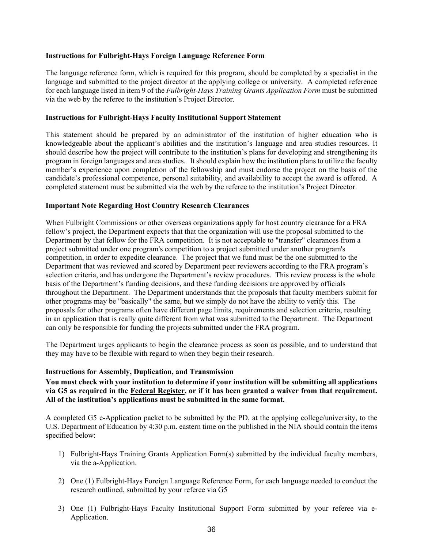#### **Instructions for Fulbright-Hays Foreign Language Reference Form**

The language reference form, which is required for this program, should be completed by a specialist in the language and submitted to the project director at the applying college or university. A completed reference for each language listed in item 9 of the *Fulbright-Hays Training Grants Application Form* must be submitted via the web by the referee to the institution's Project Director.

#### **Instructions for Fulbright-Hays Faculty Institutional Support Statement**

This statement should be prepared by an administrator of the institution of higher education who is knowledgeable about the applicant's abilities and the institution's language and area studies resources. It should describe how the project will contribute to the institution's plans for developing and strengthening its program in foreign languages and area studies. It should explain how the institution plans to utilize the faculty member's experience upon completion of the fellowship and must endorse the project on the basis of the candidate's professional competence, personal suitability, and availability to accept the award is offered. A completed statement must be submitted via the web by the referee to the institution's Project Director.

#### **Important Note Regarding Host Country Research Clearances**

When Fulbright Commissions or other overseas organizations apply for host country clearance for a FRA fellow's project, the Department expects that that the organization will use the proposal submitted to the Department by that fellow for the FRA competition. It is not acceptable to "transfer" clearances from a project submitted under one program's competition to a project submitted under another program's competition, in order to expedite clearance. The project that we fund must be the one submitted to the Department that was reviewed and scored by Department peer reviewers according to the FRA program's selection criteria, and has undergone the Department's review procedures. This review process is the whole basis of the Department's funding decisions, and these funding decisions are approved by officials throughout the Department. The Department understands that the proposals that faculty members submit for other programs may be "basically" the same, but we simply do not have the ability to verify this. The proposals for other programs often have different page limits, requirements and selection criteria, resulting in an application that is really quite different from what was submitted to the Department. The Department can only be responsible for funding the projects submitted under the FRA program.

The Department urges applicants to begin the clearance process as soon as possible, and to understand that they may have to be flexible with regard to when they begin their research.

#### **Instructions for Assembly, Duplication, and Transmission**

**You must check with your institution to determine if your institution will be submitting all applications via G5 as required in the Federal Register, or if it has been granted a waiver from that requirement. All of the institution's applications must be submitted in the same format.**

A completed G5 e-Application packet to be submitted by the PD, at the applying college/university, to the U.S. Department of Education by 4:30 p.m. eastern time on the published in the NIA should contain the items specified below:

- 1) Fulbright-Hays Training Grants Application Form(s) submitted by the individual faculty members, via the a-Application.
- 2) One (1) Fulbright-Hays Foreign Language Reference Form, for each language needed to conduct the research outlined, submitted by your referee via G5
- 3) One (1) Fulbright-Hays Faculty Institutional Support Form submitted by your referee via e-Application.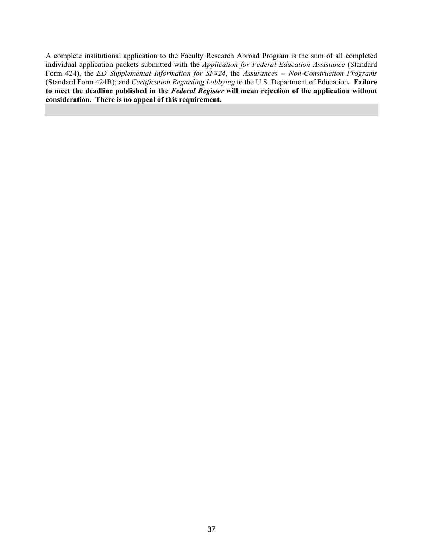A complete institutional application to the Faculty Research Abroad Program is the sum of all completed individual application packets submitted with the *Application for Federal Education Assistance* (Standard Form 424), the *ED Supplemental Information for SF424*, the *Assurances -- Non-Construction Programs* (Standard Form 424B); and *Certification Regarding Lobbying* to the U.S. Department of Education**. Failure to meet the deadline published in the** *Federal Register* **will mean rejection of the application without consideration. There is no appeal of this requirement.**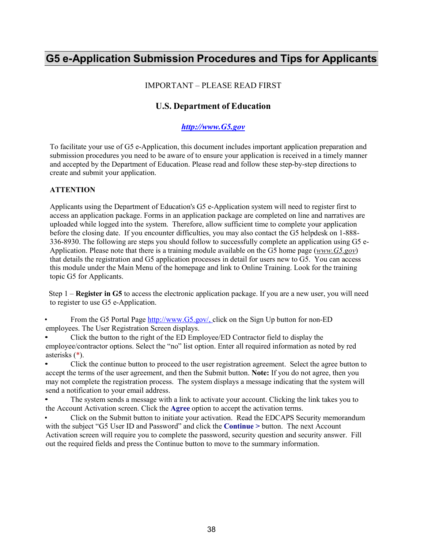## <span id="page-38-0"></span>**G5 e-Application Submission Procedures and Tips for Applicants**

### IMPORTANT – PLEASE READ FIRST

### **U.S. Department of Education**

### *[http://www.G5.gov](http://www.g5.gov/)*

To facilitate your use of G5 e-Application, this document includes important application preparation and submission procedures you need to be aware of to ensure your application is received in a timely manner and accepted by the Department of Education. Please read and follow these step-by-step directions to create and submit your application.

#### **ATTENTION**

Applicants using the Department of Education's G5 e-Application system will need to register first to access an application package. Forms in an application package are completed on line and narratives are uploaded while logged into the system. Therefore, allow sufficient time to complete your application before the closing date. If you encounter difficulties, you may also contact the G5 helpdesk on 1-888- 336-8930. The following are steps you should follow to successfully complete an application using G5 e-Application. Please note that there is a training module available on the G5 home page (*www.G5.gov*) that details the registration and G5 application processes in detail for users new to G5. You can access this module under the Main Menu of the homepage and link to Online Training. Look for the training topic G5 for Applicants.

Step 1 – **Register in G5** to access the electronic application package. If you are a new user, you will need to register to use G5 e-Application.

• From the G5 Portal Page [http://www.G5.gov/, c](http://www.g5.gov/,)lick on the Sign Up button for non-ED employees. The User Registration Screen displays.

• Click the button to the right of the ED Employee/ED Contractor field to display the employee/contractor options. Select the "no" list option. Enter all required information as noted by red asterisks (\*).

• Click the continue button to proceed to the user registration agreement. Select the agree button to accept the terms of the user agreement, and then the Submit button. **Note:** If you do not agree, then you may not complete the registration process. The system displays a message indicating that the system will send a notification to your email address.

The system sends a message with a link to activate your account. Clicking the link takes you to the Account Activation screen. Click the **Agree** option to accept the activation terms.

• Click on the Submit button to initiate your activation. Read the EDCAPS Security memorandum with the subject "G5 User ID and Password" and click the **Continue >** button. The next Account Activation screen will require you to complete the password, security question and security answer. Fill out the required fields and press the Continue button to move to the summary information.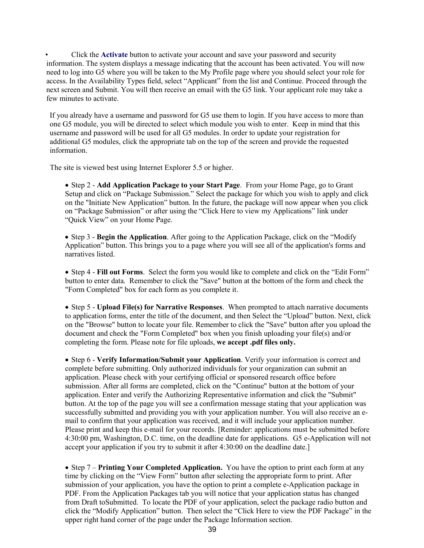• Click the **Activate** button to activate your account and save your password and security information. The system displays a message indicating that the account has been activated. You will now need to log into G5 where you will be taken to the My Profile page where you should select your role for access. In the Availability Types field, select "Applicant" from the list and Continue. Proceed through the next screen and Submit. You will then receive an email with the G5 link. Your applicant role may take a few minutes to activate.

If you already have a username and password for G5 use them to login. If you have access to more than one G5 module, you will be directed to select which module you wish to enter. Keep in mind that this username and password will be used for all G5 modules. In order to update your registration for additional G5 modules, click the appropriate tab on the top of the screen and provide the requested information.

The site is viewed best using Internet Explorer 5.5 or higher.

• Step 2 - **Add Application Package to your Start Page**. From your Home Page, go to Grant Setup and click on "Package Submission." Select the package for which you wish to apply and click on the "Initiate New Application" button. In the future, the package will now appear when you click on "Package Submission" or after using the "Click Here to view my Applications" link under "Quick View" on your Home Page.

• Step 3 - **Begin the Application**. After going to the Application Package, click on the "Modify Application" button. This brings you to a page where you will see all of the application's forms and narratives listed.

• Step 4 - **Fill out Forms**. Select the form you would like to complete and click on the "Edit Form" button to enter data. Remember to click the "Save" button at the bottom of the form and check the "Form Completed" box for each form as you complete it.

• Step 5 - **Upload File(s) for Narrative Responses**. When prompted to attach narrative documents to application forms, enter the title of the document, and then Select the "Upload" button. Next, click on the "Browse" button to locate your file. Remember to click the "Save" button after you upload the document and check the "Form Completed" box when you finish uploading your file(s) and/or completing the form. Please note for file uploads, **we accept .pdf files only.**

• Step 6 - **Verify Information/Submit your Application**. Verify your information is correct and complete before submitting. Only authorized individuals for your organization can submit an application. Please check with your certifying official or sponsored research office before submission. After all forms are completed, click on the "Continue" button at the bottom of your application. Enter and verify the Authorizing Representative information and click the "Submit" button. At the top of the page you will see a confirmation message stating that your application was successfully submitted and providing you with your application number. You will also receive an email to confirm that your application was received, and it will include your application number. Please print and keep this e-mail for your records. [Reminder: applications must be submitted before 4:30:00 pm, Washington, D.C. time, on the deadline date for applications. G5 e-Application will not accept your application if you try to submit it after 4:30:00 on the deadline date.]

• Step 7 – **Printing Your Completed Application.** You have the option to print each form at any time by clicking on the "View Form" button after selecting the appropriate form to print. After submission of your application, you have the option to print a complete e-Application package in PDF. From the Application Packages tab you will notice that your application status has changed from Draft toSubmitted. To locate the PDF of your application, select the package radio button and click the "Modify Application" button. Then select the "Click Here to view the PDF Package" in the upper right hand corner of the page under the Package Information section.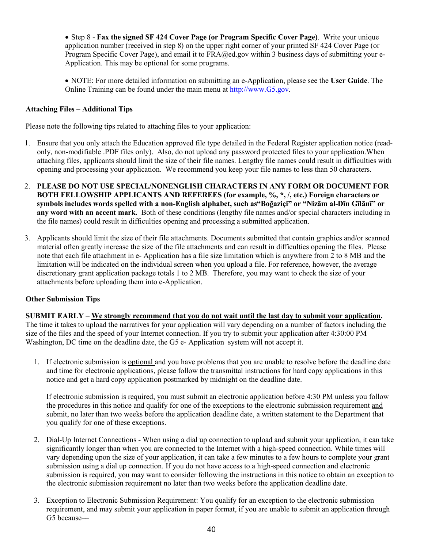- Step 8 **Fax the signed SF 424 Cover Page (or Program Specific Cover Page)**. Write your unique application number (received in step 8) on the upper right corner of your printed SF 424 Cover Page (or Program Specific Cover Page), and email it to FRA@ed.gov within 3 business days of submitting your e-Application. This may be optional for some programs.
- NOTE: For more detailed information on submitting an e-Application, please see the **User Guide**. The Online Training can be found under the main menu at [http://www.G5.gov.](http://www.g5.gov/)

### **Attaching Files – Additional Tips**

Please note the following tips related to attaching files to your application:

- 1. Ensure that you only attach the Education approved file type detailed in the Federal Register application notice (readonly, non-modifiable .PDF files only). Also, do not upload any password protected files to your application.When attaching files, applicants should limit the size of their file names. Lengthy file names could result in difficulties with opening and processing your application. We recommend you keep your file names to less than 50 characters.
- 2. **PLEASE DO NOT USE SPECIAL/NONENGLISH CHARACTERS IN ANY FORM OR DOCUMENT FOR BOTH FELLOWSHIP APPLICANTS AND REFEREES (for example, %, \*, /, etc.) Foreign characters or symbols includes words spelled with a non-English alphabet, such as"Boğaziçi" or "Nizām al-Dīn Gīlānī" or any word with an accent mark.** Both of these conditions (lengthy file names and/or special characters including in the file names) could result in difficulties opening and processing a submitted application.
- 3. Applicants should limit the size of their file attachments. Documents submitted that contain graphics and/or scanned material often greatly increase the size of the file attachments and can result in difficulties opening the files. Please note that each file attachment in e- Application has a file size limitation which is anywhere from 2 to 8 MB and the limitation will be indicated on the individual screen when you upload a file. For reference, however, the average discretionary grant application package totals 1 to 2 MB. Therefore, you may want to check the size of your attachments before uploading them into e-Application.

#### **Other Submission Tips**

**SUBMIT EARLY** – **We strongly recommend that you do not wait until the last day to submit your application.** 

The time it takes to upload the narratives for your application will vary depending on a number of factors including the size of the files and the speed of your Internet connection. If you try to submit your application after 4:30:00 PM Washington, DC time on the deadline date, the G5 e- Application system will not accept it.

1. If electronic submission is optional and you have problems that you are unable to resolve before the deadline date and time for electronic applications, please follow the transmittal instructions for hard copy applications in this notice and get a hard copy application postmarked by midnight on the deadline date.

If electronic submission is required, you must submit an electronic application before 4:30 PM unless you follow the procedures in this notice and qualify for one of the exceptions to the electronic submission requirement and submit, no later than two weeks before the application deadline date, a written statement to the Department that you qualify for one of these exceptions.

- 2. Dial-Up Internet Connections When using a dial up connection to upload and submit your application, it can take significantly longer than when you are connected to the Internet with a high-speed connection. While times will vary depending upon the size of your application, it can take a few minutes to a few hours to complete your grant submission using a dial up connection. If you do not have access to a high-speed connection and electronic submission is required, you may want to consider following the instructions in this notice to obtain an exception to the electronic submission requirement no later than two weeks before the application deadline date.
- 3. Exception to Electronic Submission Requirement: You qualify for an exception to the electronic submission requirement, and may submit your application in paper format, if you are unable to submit an application through G5 because––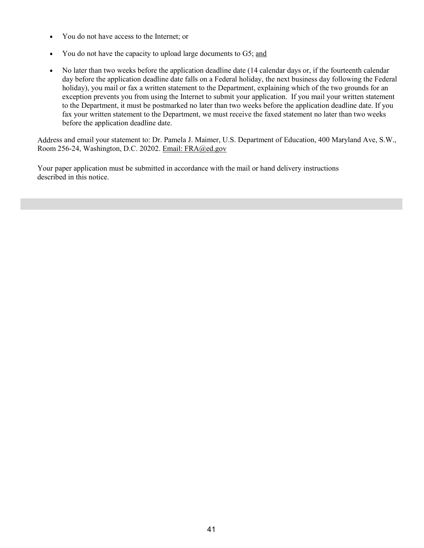- You do not have access to the Internet; or
- You do not have the capacity to upload large documents to G5; and
- No later than two weeks before the application deadline date (14 calendar days or, if the fourteenth calendar day before the application deadline date falls on a Federal holiday, the next business day following the Federal holiday), you mail or fax a written statement to the Department, explaining which of the two grounds for an exception prevents you from using the Internet to submit your application. If you mail your written statement to the Department, it must be postmarked no later than two weeks before the application deadline date. If you fax your written statement to the Department, we must receive the faxed statement no later than two weeks before the application deadline date.

Address and email your statement to: Dr. Pamela J. Maimer, U.S. Department of Education, 400 Maryland Ave, S.W., Room 256-24, Washington, D.C. 20202. Email: FRA@ed.gov

Your paper application must be submitted in accordance with the mail or hand delivery instructions described in this notice.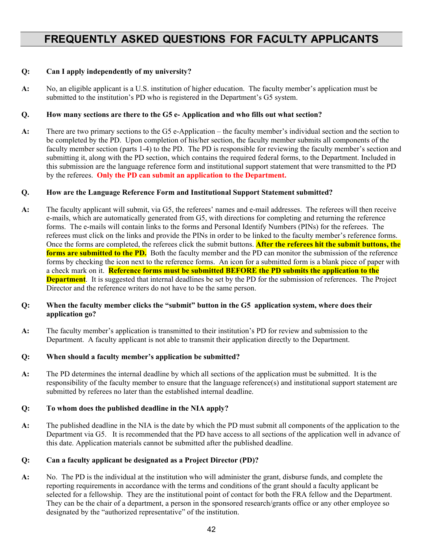## <span id="page-42-0"></span>**FREQUENTLY ASKED QUESTIONS FOR FACULTY APPLICANTS**

#### **Q: Can I apply independently of my university?**

**A:** No, an eligible applicant is a U.S. institution of higher education. The faculty member's application must be submitted to the institution's PD who is registered in the Department's G5 system.

#### **Q. How many sections are there to the G5 e- Application and who fills out what section?**

**A:** There are two primary sections to the G5 e-Application – the faculty member's individual section and the section to be completed by the PD. Upon completion of his/her section, the faculty member submits all components of the faculty member section (parts 1-4) to the PD. The PD is responsible for reviewing the faculty member's section and submitting it, along with the PD section, which contains the required federal forms, to the Department. Included in this submission are the language reference form and institutional support statement that were transmitted to the PD by the referees. **Only the PD can submit an application to the Department.**

#### **Q. How are the Language Reference Form and Institutional Support Statement submitted?**

**A:** The faculty applicant will submit, via G5, the referees' names and e-mail addresses. The referees will then receive e-mails, which are automatically generated from G5, with directions for completing and returning the reference forms. The e-mails will contain links to the forms and Personal Identify Numbers (PINs) for the referees. The referees must click on the links and provide the PINs in order to be linked to the faculty member's reference forms. Once the forms are completed, the referees click the submit buttons. **After the referees hit the submit buttons, the forms are submitted to the PD.** Both the faculty member and the PD can monitor the submission of the reference forms by checking the icon next to the reference forms. An icon for a submitted form is a blank piece of paper with a check mark on it. **Reference forms must be submitted BEFORE the PD submits the application to the Department**. It is suggested that internal deadlines be set by the PD for the submission of references. The Project Director and the reference writers do not have to be the same person.

#### **Q: When the faculty member clicks the "submit" button in the G5 application system, where does their application go?**

**A:** The faculty member's application is transmitted to their institution's PD for review and submission to the Department. A faculty applicant is not able to transmit their application directly to the Department.

#### **Q: When should a faculty member's application be submitted?**

**A:** The PD determines the internal deadline by which all sections of the application must be submitted. It is the responsibility of the faculty member to ensure that the language reference(s) and institutional support statement are submitted by referees no later than the established internal deadline.

#### **Q: To whom does the published deadline in the NIA apply?**

**A:** The published deadline in the NIA is the date by which the PD must submit all components of the application to the Department via G5. It is recommended that the PD have access to all sections of the application well in advance of this date. Application materials cannot be submitted after the published deadline.

#### **Q: Can a faculty applicant be designated as a Project Director (PD)?**

**A:** No. The PD is the individual at the institution who will administer the grant, disburse funds, and complete the reporting requirements in accordance with the terms and conditions of the grant should a faculty applicant be selected for a fellowship. They are the institutional point of contact for both the FRA fellow and the Department. They can be the chair of a department, a person in the sponsored research/grants office or any other employee so designated by the "authorized representative" of the institution.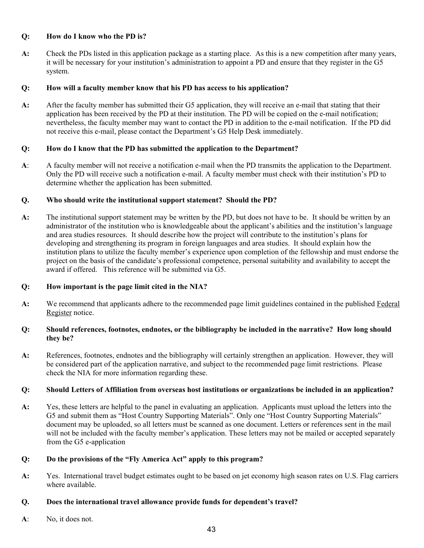#### **Q: How do I know who the PD is?**

**A:** Check the PDs listed in this application package as a starting place. As this is a new competition after many years, it will be necessary for your institution's administration to appoint a PD and ensure that they register in the G5 system.

#### **Q: How will a faculty member know that his PD has access to his application?**

**A:** After the faculty member has submitted their G5 application, they will receive an e-mail that stating that their application has been received by the PD at their institution. The PD will be copied on the e-mail notification; nevertheless, the faculty member may want to contact the PD in addition to the e-mail notification. If the PD did not receive this e-mail, please contact the Department's G5 Help Desk immediately.

#### **Q: How do I know that the PD has submitted the application to the Department?**

**A**:A faculty member will not receive a notification e-mail when the PD transmits the application to the Department. Only the PD will receive such a notification e-mail. A faculty member must check with their institution's PD to determine whether the application has been submitted.

#### **Q. Who should write the institutional support statement? Should the PD?**

**A:** The institutional support statement may be written by the PD, but does not have to be. It should be written by an administrator of the institution who is knowledgeable about the applicant's abilities and the institution's language and area studies resources. It should describe how the project will contribute to the institution's plans for developing and strengthening its program in foreign languages and area studies. It should explain how the institution plans to utilize the faculty member's experience upon completion of the fellowship and must endorse the project on the basis of the candidate's professional competence, personal suitability and availability to accept the award if offered. This reference will be submitted via G5.

#### **Q: How important is the page limit cited in the NIA?**

**A:** We recommend that applicants adhere to the recommended page limit guidelines contained in the published Federal Register notice.

#### **Q: Should references, footnotes, endnotes, or the bibliography be included in the narrative? How long should they be?**

**A:** References, footnotes, endnotes and the bibliography will certainly strengthen an application. However, they will be considered part of the application narrative, and subject to the recommended page limit restrictions. Please check the NIA for more information regarding these.

#### **Q: Should Letters of Affiliation from overseas host institutions or organizations be included in an application?**

**A:** Yes, these letters are helpful to the panel in evaluating an application. Applicants must upload the letters into the G5 and submit them as "Host Country Supporting Materials". Only one "Host Country Supporting Materials" document may be uploaded, so all letters must be scanned as one document. Letters or references sent in the mail will not be included with the faculty member's application. These letters may not be mailed or accepted separately from the G5 e-application

### **Q: Do the provisions of the "Fly America Act" apply to this program?**

**A:** Yes. International travel budget estimates ought to be based on jet economy high season rates on U.S. Flag carriers where available.

#### **Q. Does the international travel allowance provide funds for dependent's travel?**

**A**: No, it does not.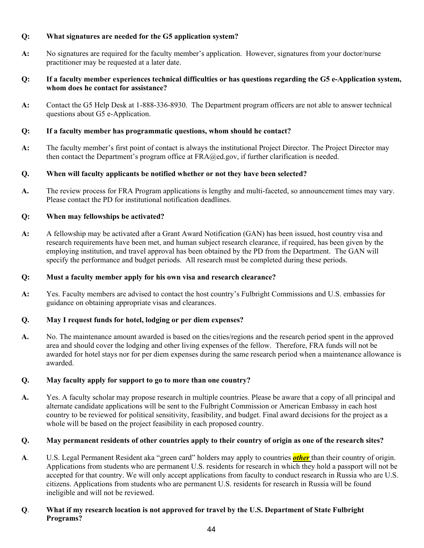#### **Q: What signatures are needed for the G5 application system?**

**A:** No signatures are required for the faculty member's application. However, signatures from your doctor/nurse practitioner may be requested at a later date.

#### **Q: If a faculty member experiences technical difficulties or has questions regarding the G5 e-Application system, whom does he contact for assistance?**

**A:** Contact the G5 Help Desk at 1-888-336-8930. The Department program officers are not able to answer technical questions about G5 e-Application.

#### **Q: If a faculty member has programmatic questions, whom should he contact?**

A: The faculty member's first point of contact is always the institutional Project Director. The Project Director may then contact the Department's program office at FRA@ed.gov, if further clarification is needed.

### **Q. When will faculty applicants be notified whether or not they have been selected?**

**A.** The review process for FRA Program applications is lengthy and multi-faceted, so announcement times may vary. Please contact the PD for institutional notification deadlines.

#### **Q: When may fellowships be activated?**

**A:** A fellowship may be activated after a Grant Award Notification (GAN) has been issued, host country visa and research requirements have been met, and human subject research clearance, if required, has been given by the employing institution, and travel approval has been obtained by the PD from the Department. The GAN will specify the performance and budget periods. All research must be completed during these periods.

#### **Q: Must a faculty member apply for his own visa and research clearance?**

**A:** Yes. Faculty members are advised to contact the host country's Fulbright Commissions and U.S. embassies for guidance on obtaining appropriate visas and clearances.

### **Q. May I request funds for hotel, lodging or per diem expenses?**

**A.** No. The maintenance amount awarded is based on the cities/regions and the research period spent in the approved area and should cover the lodging and other living expenses of the fellow. Therefore, FRA funds will not be awarded for hotel stays nor for per diem expenses during the same research period when a maintenance allowance is awarded.

#### **Q. May faculty apply for support to go to more than one country?**

**A.** Yes. A faculty scholar may propose research in multiple countries. Please be aware that a copy of all principal and alternate candidate applications will be sent to the Fulbright Commission or American Embassy in each host country to be reviewed for political sensitivity, feasibility, and budget. Final award decisions for the project as a whole will be based on the project feasibility in each proposed country.

#### **Q. May permanent residents of other countries apply to their country of origin as one of the research sites?**

**A**. U.S. Legal Permanent Resident aka "green card" holders may apply to countries *other* than their country of origin. Applications from students who are permanent U.S. residents for research in which they hold a passport will not be accepted for that country. We will only accept applications from faculty to conduct research in Russia who are U.S. citizens. Applications from students who are permanent U.S. residents for research in Russia will be found ineligible and will not be reviewed.

#### **Q**. **What if my research location is not approved for travel by the U.S. Department of State Fulbright Programs?**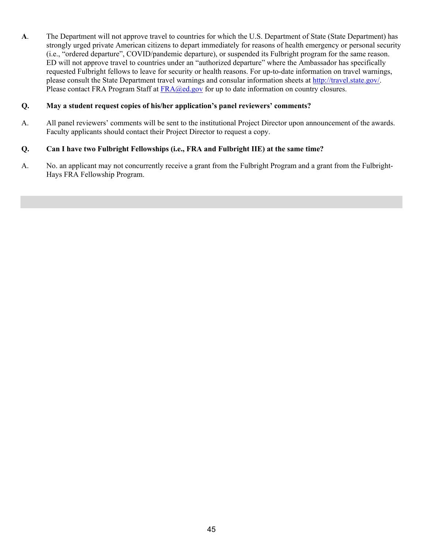**A**. The Department will not approve travel to countries for which the U.S. Department of State (State Department) has strongly urged private American citizens to depart immediately for reasons of health emergency or personal security (i.e., "ordered departure", COVID/pandemic departure), or suspended its Fulbright program for the same reason. ED will not approve travel to countries under an "authorized departure" where the Ambassador has specifically requested Fulbright fellows to leave for security or health reasons. For up-to-date information on travel warnings, please consult the State Department travel warnings and consular information sheets at [http://travel.state.gov/.](http://travel.state.gov/) Please contact FRA Program Staff at  $FRA$   $@ed.gov$  for up to date information on country closures.

#### **Q. May a student request copies of his/her application's panel reviewers' comments?**

A. All panel reviewers' comments will be sent to the institutional Project Director upon announcement of the awards. Faculty applicants should contact their Project Director to request a copy.

#### **Q. Can I have two Fulbright Fellowships (i.e., FRA and Fulbright IIE) at the same time?**

A. No. an applicant may not concurrently receive a grant from the Fulbright Program and a grant from the Fulbright-Hays FRA Fellowship Program.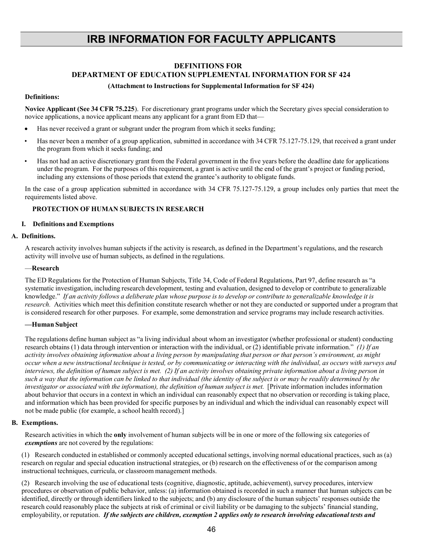## **IRB INFORMATION FOR FACULTY APPLICANTS**

### <span id="page-46-0"></span>**DEFINITIONS FOR DEPARTMENT OF EDUCATION SUPPLEMENTAL INFORMATION FOR SF 424**

#### **(Attachment to Instructions for Supplemental Information for SF 424)**

#### **Definitions:**

**Novice Applicant (See 34 CFR 75.225**). For discretionary grant programs under which the Secretary gives special consideration to novice applications, a novice applicant means any applicant for a grant from ED that—

- Has never received a grant or subgrant under the program from which it seeks funding;
- Has never been a member of a group application, submitted in accordance with 34 CFR 75.127-75.129, that received a grant under the program from which it seeks funding; and
- Has not had an active discretionary grant from the Federal government in the five years before the deadline date for applications under the program. For the purposes of this requirement, a grant is active until the end of the grant's project or funding period, including any extensions of those periods that extend the grantee's authority to obligate funds.

In the case of a group application submitted in accordance with 34 CFR 75.127-75.129, a group includes only parties that meet the requirements listed above.

#### **PROTECTION OF HUMAN SUBJECTS IN RESEARCH**

#### **I. Definitions and Exemptions**

#### **A. Definitions.**

A research activity involves human subjects if the activity is research, as defined in the Department's regulations, and the research activity will involve use of human subjects, as defined in the regulations.

#### —**Research**

The ED Regulations for the Protection of Human Subjects, Title 34, Code of Federal Regulations, Part 97, define research as "a systematic investigation, including research development, testing and evaluation, designed to develop or contribute to generalizable knowledge." *If an activity follows a deliberate plan whose purpose is to develop or contribute to generalizable knowledge it is research.* Activities which meet this definition constitute research whether or not they are conducted or supported under a program that is considered research for other purposes. For example, some demonstration and service programs may include research activities.

#### **—Human Subject**

The regulations define human subject as "a living individual about whom an investigator (whether professional or student) conducting research obtains (1) data through intervention or interaction with the individual, or (2) identifiable private information." *(1) If an activity involves obtaining information about a living person by manipulating that person or that person's environment, as might occur when a new instructional technique is tested, or by communicating or interacting with the individual, as occurs with surveys and interviews, the definition of human subject is met. (2) If an activity involves obtaining private information about a living person in such a way that the information can be linked to that individual (the identity of the subject is or may be readily determined by the investigator or associated with the information), the definition of human subject is met.* [Private information includes information about behavior that occurs in a context in which an individual can reasonably expect that no observation or recording is taking place, and information which has been provided for specific purposes by an individual and which the individual can reasonably expect will not be made public (for example, a school health record).]

#### **B. Exemptions.**

Research activities in which the **only** involvement of human subjects will be in one or more of the following six categories of *exemptions* are not covered by the regulations:

(1) Research conducted in established or commonly accepted educational settings, involving normal educational practices, such as (a) research on regular and special education instructional strategies, or (b) research on the effectiveness of or the comparison among instructional techniques, curricula, or classroom management methods.

(2) Research involving the use of educational tests (cognitive, diagnostic, aptitude, achievement), survey procedures, interview procedures or observation of public behavior, unless: (a) information obtained is recorded in such a manner that human subjects can be identified, directly or through identifiers linked to the subjects; and (b) any disclosure of the human subjects' responses outside the research could reasonably place the subjects at risk of criminal or civil liability or be damaging to the subjects' financial standing, employability, or reputation. *If the subjects are children, exemption 2 applies only to research involving educational tests and*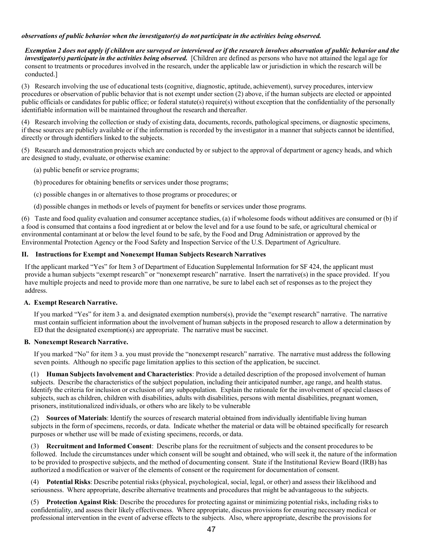#### *observations of public behavior when the investigator(s) do not participate in the activities being observed.*

*Exemption 2 does not apply if children are surveyed or interviewed or if the research involves observation of public behavior and the investigator(s) participate in the activities being observed.* [Children are defined as persons who have not attained the legal age for consent to treatments or procedures involved in the research, under the applicable law or jurisdiction in which the research will be conducted.]

(3) Research involving the use of educational tests (cognitive, diagnostic, aptitude, achievement), survey procedures, interview procedures or observation of public behavior that is not exempt under section (2) above, if the human subjects are elected or appointed public officials or candidates for public office; or federal statute(s) require(s) without exception that the confidentiality of the personally identifiable information will be maintained throughout the research and thereafter.

(4) Research involving the collection or study of existing data, documents, records, pathological specimens, or diagnostic specimens, if these sources are publicly available or if the information is recorded by the investigator in a manner that subjects cannot be identified, directly or through identifiers linked to the subjects.

(5) Research and demonstration projects which are conducted by or subject to the approval of department or agency heads, and which are designed to study, evaluate, or otherwise examine:

- (a) public benefit or service programs;
- (b) procedures for obtaining benefits or services under those programs;
- (c) possible changes in or alternatives to those programs or procedures; or

(d) possible changes in methods or levels of payment for benefits or services under those programs.

(6) Taste and food quality evaluation and consumer acceptance studies, (a) if wholesome foods without additives are consumed or (b) if a food is consumed that contains a food ingredient at or below the level and for a use found to be safe, or agricultural chemical or environmental contaminant at or below the level found to be safe, by the Food and Drug Administration or approved by the Environmental Protection Agency or the Food Safety and Inspection Service of the U.S. Department of Agriculture.

#### **II. Instructions for Exempt and Nonexempt Human Subjects Research Narratives**

If the applicant marked "Yes" for Item 3 of Department of Education Supplemental Information for SF 424, the applicant must provide a human subjects "exempt research" or "nonexempt research" narrative. Insert the narrative(s) in the space provided. If you have multiple projects and need to provide more than one narrative, be sure to label each set of responses as to the project they address.

#### **A. Exempt Research Narrative.**

If you marked "Yes" for item 3 a. and designated exemption numbers(s), provide the "exempt research" narrative. The narrative must contain sufficient information about the involvement of human subjects in the proposed research to allow a determination by ED that the designated exemption(s) are appropriate. The narrative must be succinct.

#### **B. Nonexempt Research Narrative.**

If you marked "No" for item 3 a. you must provide the "nonexempt research" narrative. The narrative must address the following seven points. Although no specific page limitation applies to this section of the application, be succinct.

(1) **Human Subjects Involvement and Characteristics**: Provide a detailed description of the proposed involvement of human subjects. Describe the characteristics of the subject population, including their anticipated number, age range, and health status. Identify the criteria for inclusion or exclusion of any subpopulation. Explain the rationale for the involvement of special classes of subjects, such as children, children with disabilities, adults with disabilities, persons with mental disabilities, pregnant women, prisoners, institutionalized individuals, or others who are likely to be vulnerable

(2) **Sources of Materials**: Identify the sources of research material obtained from individually identifiable living human subjects in the form of specimens, records, or data. Indicate whether the material or data will be obtained specifically for research purposes or whether use will be made of existing specimens, records, or data.

(3) **Recruitment and Informed Consent**: Describe plans for the recruitment of subjects and the consent procedures to be followed. Include the circumstances under which consent will be sought and obtained, who will seek it, the nature of the information to be provided to prospective subjects, and the method of documenting consent. State if the Institutional Review Board (IRB) has authorized a modification or waiver of the elements of consent or the requirement for documentation of consent.

(4) **Potential Risks**: Describe potential risks (physical, psychological, social, legal, or other) and assess their likelihood and seriousness. Where appropriate, describe alternative treatments and procedures that might be advantageous to the subjects.

(5) **Protection Against Risk**: Describe the procedures for protecting against or minimizing potential risks, including risks to confidentiality, and assess their likely effectiveness. Where appropriate, discuss provisions for ensuring necessary medical or professional intervention in the event of adverse effects to the subjects. Also, where appropriate, describe the provisions for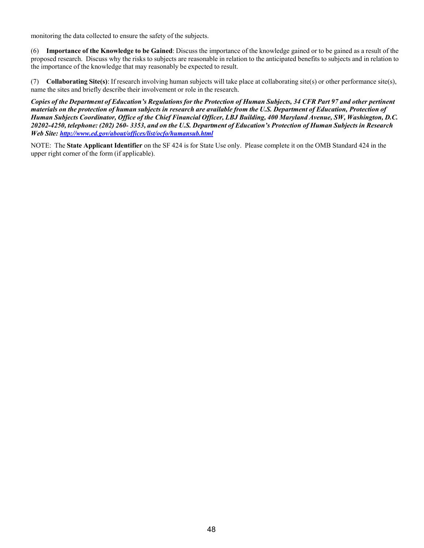monitoring the data collected to ensure the safety of the subjects.

(6) **Importance of the Knowledge to be Gained**: Discuss the importance of the knowledge gained or to be gained as a result of the proposed research. Discuss why the risks to subjects are reasonable in relation to the anticipated benefits to subjects and in relation to the importance of the knowledge that may reasonably be expected to result.

(7) **Collaborating Site(s)**: If research involving human subjects will take place at collaborating site(s) or other performance site(s), name the sites and briefly describe their involvement or role in the research.

*Copies of the Department of Education's Regulations for the Protection of Human Subjects, 34 CFR Part 97 and other pertinent materials on the protection of human subjects in research are available from the U.S. Department of Education, Protection of Human Subjects Coordinator, Office of the Chief Financial Officer, LBJ Building, 400 Maryland Avenue, SW, Washington, D.C. 20202-4250, telephone: (202) 260- 3353, and on the U.S. Department of Education's Protection of Human Subjects in Research Web Site: <http://www.ed.gov/about/offices/list/ocfo/humansub.html>*

NOTE: The **State Applicant Identifier** on the SF 424 is for State Use only. Please complete it on the OMB Standard 424 in the upper right corner of the form (if applicable).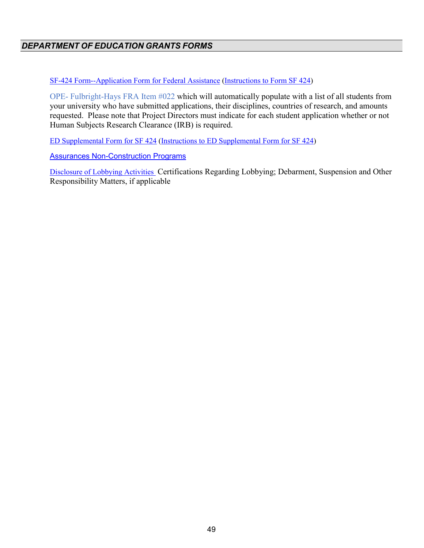### *DEPARTMENT OF EDUCATION GRANTS FORMS*

#### [SF-424 Form--Application Form for Federal Assistance](https://apply07.grants.gov/apply/forms/sample/SF424_2_1-V2.1.pdf) [\(Instructions to Form SF 424\)](https://www2.ed.gov/fund/grant/apply/appforms/sf-424-instructions.pdf)

OPE- Fulbright-Hays FRA Item #022 which will automatically populate with a list of all students from your university who have submitted applications, their disciplines, countries of research, and amounts requested. Please note that Project Directors must indicate for each student application whether or not Human Subjects Research Clearance (IRB) is required.

[ED Supplemental Form for SF 424](https://www2.ed.gov/fund/grant/apply/appforms/sf424edsuppl.pdf) [\(Instructions to ED Supplemental Form for SF 424\)](https://www2.ed.gov/fund/grant/apply/appforms/sf424instruct.pdf)

[Assurances Non-Construction Programs](https://www2.ed.gov/fund/grant/apply/appforms/sf424b.pdf)

[Disclosure of Lobbying Activities](https://apply07.grants.gov/apply/forms/sample/SFLLL_1_2-V1.2.pdf) Certifications Regarding Lobbying; Debarment, Suspension and Other Responsibility Matters, if applicable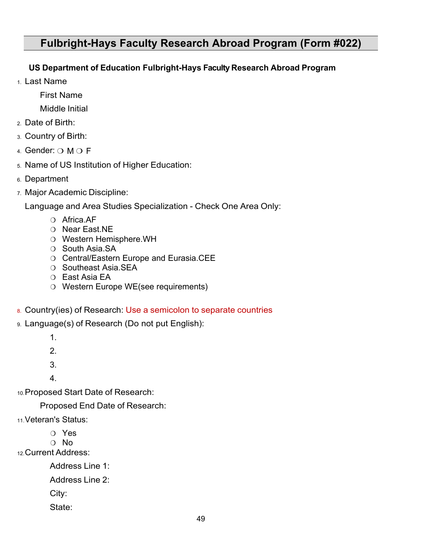## <span id="page-50-0"></span>**Fulbright-Hays Faculty Research Abroad Program (Form #022)**

## **US Department of Education Fulbright-Hays Faculty Research Abroad Program**

1. Last Name

First Name

Middle Initial

- 2. Date of Birth:
- 3. Country of Birth:
- 4. Gender: ❍ M ❍ F
- 5. Name of US Institution of Higher Education:
- 6. Department
- 7. Major Academic Discipline:

Language and Area Studies Specialization - Check One Area Only:

- ❍ Africa.AF
- ❍ Near East.NE
- ❍ Western Hemisphere.WH
- ❍ South Asia.SA
- ❍ Central/Eastern Europe and Eurasia.CEE
- ❍ Southeast Asia.SEA
- ❍ East Asia EA
- ❍ Western Europe WE(see requirements)
- 8. Country(ies) of Research: Use a semicolon to separate countries
- 9. Language(s) of Research (Do not put English):
	- 1.
	- 2.
	- 3.

4.

10.Proposed Start Date of Research:

Proposed End Date of Research:

11.Veteran's Status:

- ❍ Yes
- ❍ No

12.Current Address:

Address Line 1:

Address Line 2:

City:

State: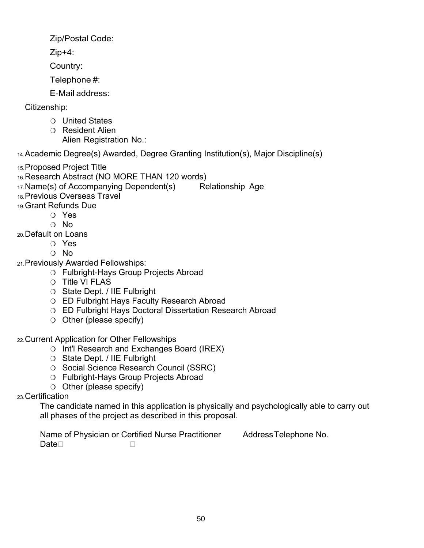Zip/Postal Code:

 $Zip+4$ :

Country:

Telephone #:

E-Mail address:

Citizenship:

- ❍ United States
- ❍ Resident Alien
	- Alien Registration No.:

14.Academic Degree(s) Awarded, Degree Granting Institution(s), Major Discipline(s)

- 15.Proposed Project Title
- 16.Research Abstract (NO MORE THAN 120 words)
- 17. Name(s) of Accompanying Dependent(s) Relationship Age
- 18.Previous Overseas Travel
- 19.Grant Refunds Due
	- ❍ Yes
	- ❍ No
- 20.Default on Loans
	- ❍ Yes
	- ❍ No
- 21.Previously Awarded Fellowships:
	- ❍ Fulbright-Hays Group Projects Abroad
	- ❍ Title VI FLAS
	- ❍ State Dept. / IIE Fulbright
	- ❍ ED Fulbright Hays Faculty Research Abroad
	- ❍ ED Fulbright Hays Doctoral Dissertation Research Abroad
	- ❍ Other (please specify)

22.Current Application for Other Fellowships

- ❍ Int'l Research and Exchanges Board (IREX)
- ❍ State Dept. / IIE Fulbright
- ❍ Social Science Research Council (SSRC)
- ❍ Fulbright-Hays Group Projects Abroad
- ❍ Other (please specify)

## 23.Certification

The candidate named in this application is physically and psychologically able to carry out all phases of the project as described in this proposal.

Name of Physician or Certified Nurse Practitioner Address Telephone No.  $\Box$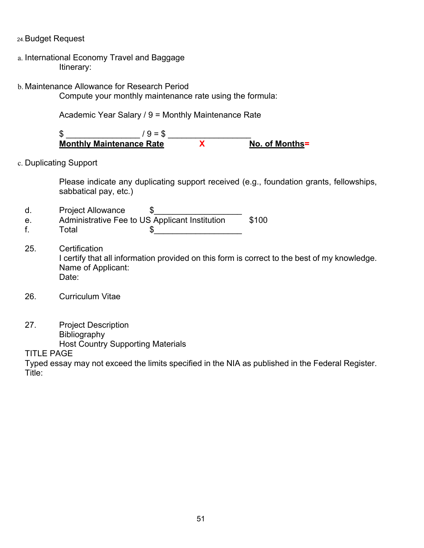## 24.Budget Request

- a. International Economy Travel and Baggage Itinerary:
- b. Maintenance Allowance for Research Period Compute your monthly maintenance rate using the formula:

Academic Year Salary / 9 = Monthly Maintenance Rate

|                                 | $9 = 9$ |                   |
|---------------------------------|---------|-------------------|
| <b>Monthly Maintenance Rate</b> |         | No. of Months $=$ |

c. Duplicating Support

Please indicate any duplicating support received (e.g., foundation grants, fellowships, sabbatical pay, etc.)

d. Project Allowance \$

- e. Administrative Fee to US Applicant Institution \$100<br>f. Total \$  $\small \textsf{Total} \qquad \qquad \textsf{S} \qquad \qquad \textsf{S}$
- 25. Certification I certify that all information provided on this form is correct to the best of my knowledge. Name of Applicant: Date:
- 26. Curriculum Vitae
- 27. Project Description Bibliography

Host Country Supporting Materials

TITLE PAGE

Typed essay may not exceed the limits specified in the NIA as published in the Federal Register. Title: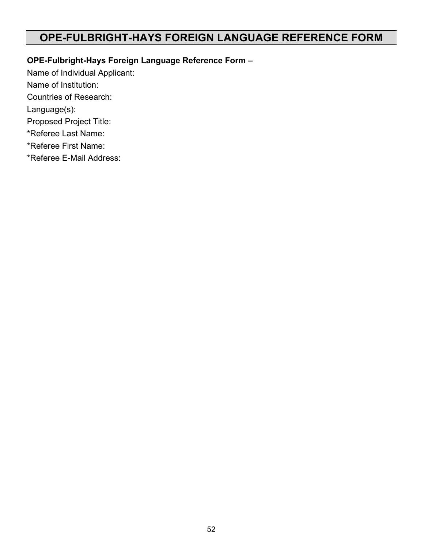# <span id="page-53-0"></span>**OPE-FULBRIGHT-HAYS FOREIGN LANGUAGE REFERENCE FORM**

## **OPE-Fulbright-Hays Foreign Language Reference Form –**

Name of Individual Applicant: Name of Institution: Countries of Research: Language(s): Proposed Project Title: \*Referee Last Name: \*Referee First Name:

\*Referee E-Mail Address: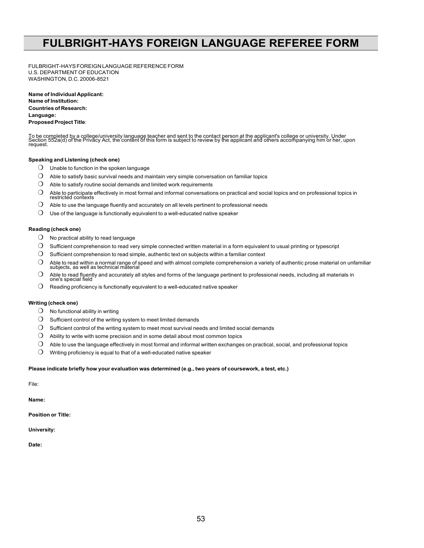## <span id="page-54-0"></span>**FULBRIGHT-HAYS FOREIGN LANGUAGE REFEREE FORM**

FULBRIGHT-HAYSFOREIGNLANGUAGE REFERENCEFORM U.S. DEPARTMENT OF EDUCATION WASHINGTON, D.C. 20006-8521

**Name of Individual Applicant: Name of Institution: Countries of Research: Language:**

#### **Proposed Project Title**:

To be completed by a college/university language teacher and sent to the contact person at the applicant's college or university. Under<br>Section 552a(d) of the Privacy Act, the content of this form is subject to review by t

#### **Speaking and Listening (check one)**

- $O$  Unable to function in the spoken language
- $O$  Able to satisfy basic survival needs and maintain very simple conversation on familiar topics
- $\bigcirc$  Able to satisfy routine social demands and limited work requirements
- ❍ Able to participate effectively in most formal and informal conversations on practical and social topics and on professional topics in restricted contexts
- $O$  Able to use the language fluently and accurately on all levels pertinent to professional needs
- $\rm O^-$  Use of the language is functionally equivalent to a well-educated native speaker

#### **Reading (check one)**

- $\bigcirc$  No practical ability to read language
- $\bigcirc$  Sufficient comprehension to read very simple connected written material in a form equivalent to usual printing or typescript
- $O$  Sufficient comprehension to read simple, authentic text on subjects within a familiar context
- ❍ Able to read within a normal range of speed and with almost complete comprehension a variety of authentic prose material on unfamiliar subjects, as well as technical material
- ❍ Able to read fluently and accurately all styles and forms of the language pertinent to professional needs, including all materials in one's special field
- $\Omega$  Reading proficiency is functionally equivalent to a well-educated native speaker

#### **Writing (check one)**

- ❍ No functional ability in writing
- $O$  Sufficient control of the writing system to meet limited demands
- $O$  Sufficient control of the writing system to meet most survival needs and limited social demands
- $\Omega$  Ability to write with some precision and in some detail about most common topics
- $\bigcirc$  Able to use the language effectively in most formal and informal written exchanges on practical, social, and professional topics
- $\Omega$  Writing proficiency is equal to that of a well-educated native speaker

#### **Please indicate briefly how your evaluation was determined (e.g., two years of coursework, a test, etc.)**

File:

**Name:**

**Position or Title:** 

**University:**

**Date:**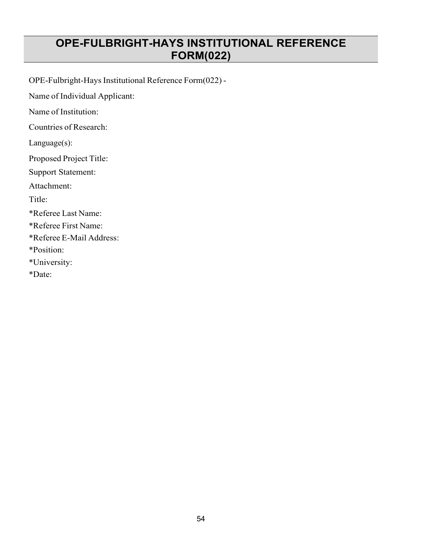## <span id="page-55-0"></span>**OPE-FULBRIGHT-HAYS INSTITUTIONAL REFERENCE FORM(022)**

OPE-Fulbright-Hays Institutional Reference Form(022) -

Name of Individual Applicant:

Name of Institution:

Countries of Research:

Language(s):

Proposed Project Title:

Support Statement:

Attachment:

Title:

\*Referee Last Name:

\*Referee First Name:

\*Referee E-Mail Address:

\*Position:

\*University:

\*Date: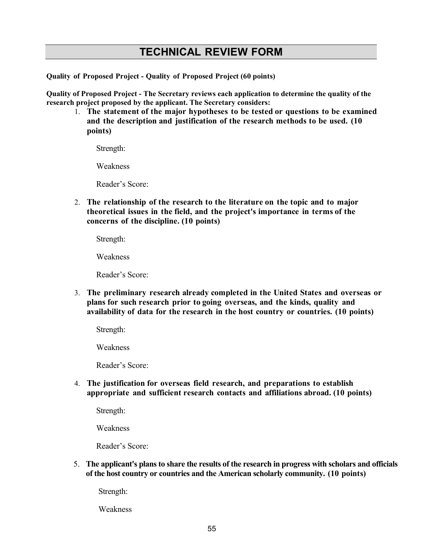## **TECHNICAL REVIEW FORM**

<span id="page-56-0"></span>**Quality of Proposed Project - Quality of Proposed Project (60 points)** 

**Quality of Proposed Project - The Secretary reviews each application to determine the quality of the research project proposed by the applicant. The Secretary considers:**

1. **The statement of the major hypotheses to be tested or questions to be examined and the description and justification of the research methods to be used. (10 points)**

Strength:

Weakness

Reader's Score:

2. **The relationship of the research to the literature on the topic and to major theoretical issues in the field, and the project's importance in terms of the concerns of the discipline. (10 points)**

Strength:

Weakness

Reader's Score:

3. **The preliminary research already completed in the United States and overseas or plans for such research prior to going overseas, and the kinds, quality and availability of data for the research in the host country or countries. (10 points)**

Strength:

Weakness

Reader's Score:

4. **The justification for overseas field research, and preparations to establish appropriate and sufficient research contacts and affiliations abroad. (10 points)**

Strength:

Weakness

Reader's Score:

5. **The applicant's plans to share the results of the research in progress with scholars and officials of the host country or countries and the American scholarly community. (10 points)**

Strength:

Weakness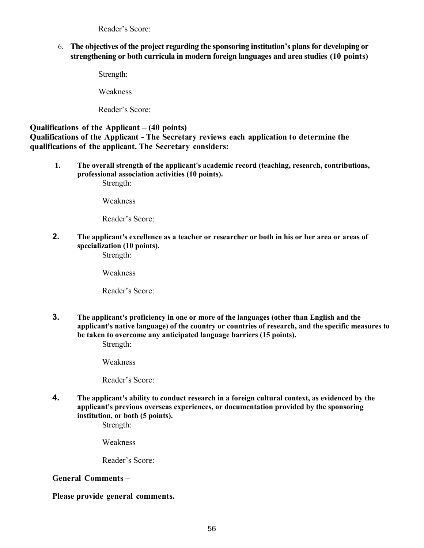Reader's Score:

6. **The objectives of the project regarding the sponsoring institution's plans for developing or strengthening or both curricula in modern foreign languages and area studies (10 points)**

Strength:

Weakness

Reader's Score:

**Qualifications of the Applicant – (40 points) Qualifications of the Applicant - The Secretary reviews each application to determine the qualifications of the applicant. The Secretary considers:** 

**1. The overall strength of the applicant's academic record (teaching, research, contributions, professional association activities (10 points).** 

Strength:

Weakness

Reader's Score:

**2. The applicant's excellence as a teacher or researcher or both in his or her area or areas of specialization (10 points).** 

Strength:

Weakness

Reader's Score:

**3. The applicant's proficiency in one or more of the languages (other than English and the applicant's native language) of the country or countries of research, and the specific measures to be taken to overcome any anticipated language barriers (15 points).**  Strength:

Weakness

Reader's Score:

**4. The applicant's ability to conduct research in a foreign cultural context, as evidenced by the applicant's previous overseas experiences, or documentation provided by the sponsoring institution, or both (5 points).** 

Strength:

Weakness

Reader's Score:

### **General Comments –**

**Please provide general comments.**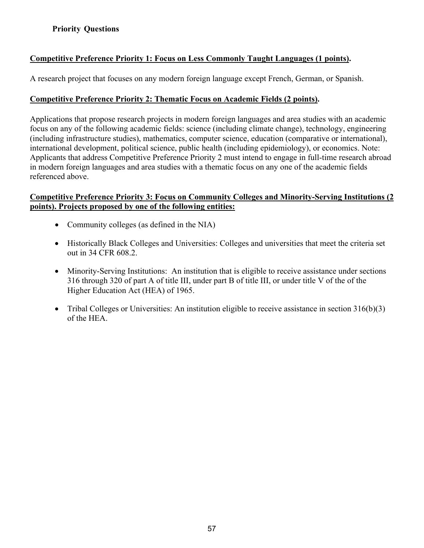## **Competitive Preference Priority 1: Focus on Less Commonly Taught Languages (1 points).**

A research project that focuses on any modern foreign language except French, German, or Spanish.

## **Competitive Preference Priority 2: Thematic Focus on Academic Fields (2 points).**

Applications that propose research projects in modern foreign languages and area studies with an academic focus on any of the following academic fields: science (including climate change), technology, engineering (including infrastructure studies), mathematics, computer science, education (comparative or international), international development, political science, public health (including epidemiology), or economics. Note: Applicants that address Competitive Preference Priority 2 must intend to engage in full-time research abroad in modern foreign languages and area studies with a thematic focus on any one of the academic fields referenced above.

## **Competitive Preference Priority 3: Focus on Community Colleges and Minority-Serving Institutions (2 points). Projects proposed by one of the following entities:**

- Community colleges (as defined in the NIA)
- Historically Black Colleges and Universities: Colleges and universities that meet the criteria set out in 34 CFR 608.2.
- Minority-Serving Institutions: An institution that is eligible to receive assistance under sections 316 through 320 of part A of title III, under part B of title III, or under title V of the of the Higher Education Act (HEA) of 1965.
- Tribal Colleges or Universities: An institution eligible to receive assistance in section 316(b)(3) of the HEA.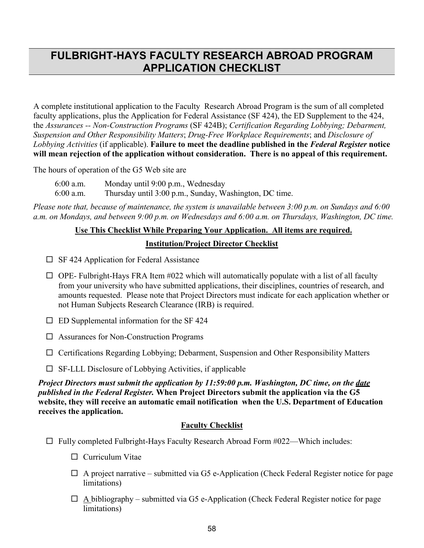## <span id="page-59-0"></span>**FULBRIGHT-HAYS FACULTY RESEARCH ABROAD PROGRAM APPLICATION CHECKLIST**

A complete institutional application to the Faculty Research Abroad Program is the sum of all completed faculty applications, plus the Application for Federal Assistance (SF 424), the ED Supplement to the 424, the *Assurances -- Non-Construction Programs* (SF 424B); *Certification Regarding Lobbying; Debarment, Suspension and Other Responsibility Matters*; *Drug-Free Workplace Requirements*; and *Disclosure of Lobbying Activities* (if applicable). **Failure to meet the deadline published in the** *Federal Register* **notice will mean rejection of the application without consideration. There is no appeal of this requirement.**

The hours of operation of the G5 Web site are

6:00 a.m. Monday until 9:00 p.m., Wednesday 6:00 a.m. Thursday until 3:00 p.m., Sunday, Washington, DC time.

*Please note that, because of maintenance, the system is unavailable between 3:00 p.m. on Sundays and 6:00 a.m. on Mondays, and between 9:00 p.m. on Wednesdays and 6:00 a.m. on Thursdays, Washington, DC time.*

## **Use This Checklist While Preparing Your Application. All items are required.**

## **Institution/Project Director Checklist**

 $\square$  SF 424 Application for Federal Assistance

- $\Box$  OPE- Fulbright-Hays FRA Item #022 which will automatically populate with a list of all faculty from your university who have submitted applications, their disciplines, countries of research, and amounts requested. Please note that Project Directors must indicate for each application whether or not Human Subjects Research Clearance (IRB) is required.
- $\square$  ED Supplemental information for the SF 424

□ Assurances for Non-Construction Programs

 $\Box$  Certifications Regarding Lobbying; Debarment, Suspension and Other Responsibility Matters

 $\square$  SF-LLL Disclosure of Lobbying Activities, if applicable

*Project Directors must submit the application by 11:59:00 p.m. Washington, DC time, on the date published in the Federal Register.* **When Project Directors submit the application via the G5 website, they will receive an automatic email notification when the U.S. Department of Education receives the application.**

## **Faculty Checklist**

- $\Box$  Fully completed Fulbright-Hays Faculty Research Abroad Form #022—Which includes:
	- $\Box$  Curriculum Vitae
	- $\Box$  A project narrative submitted via G5 e-Application (Check Federal Register notice for page limitations)
	- $\Box$  A bibliography submitted via G5 e-Application (Check Federal Register notice for page limitations)